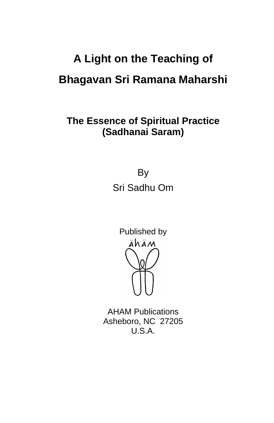# **A Light on the Teaching of Bhagavan Sri Ramana Maharshi**

**The Essence of Spiritual Practice (Sadhanai Saram)**

> By Sri Sadhu Om

Published by ähäm

AHAM Publications Asheboro, NC 27205 U.S.A.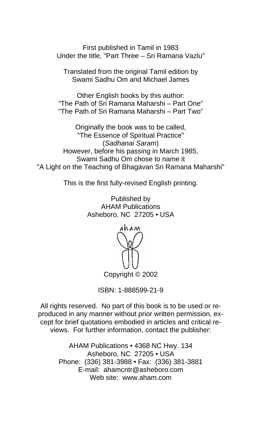First published in Tamil in 1983 Under the title, "Part Three – Sri Ramana Vazlu"

Translated from the original Tamil edition by Swami Sadhu Om and Michael James

Other English books by this author: "The Path of Sri Ramana Maharshi – Part One" "The Path of Sri Ramana Maharshi – Part Two"

Originally the book was to be called, "The Essence of Spiritual Practice" (*Sadhanai Saram*) However, before his passing in March 1985, Swami Sadhu Om chose to name it "A Light on the Teaching of Bhagavan Sri Ramana Maharshi"

This is the first fully-revised English printing.

Published by AHAM Publications Asheboro, NC 27205 • USA



ISBN: 1-888599-21-9

All rights reserved. No part of this book is to be used or reproduced in any manner without prior written permission, except for brief quotations embodied in articles and critical reviews. For further information, contact the publisher:

> AHAM Publications • 4368 NC Hwy. 134 Asheboro, NC 27205 • USA Phone: (336) 381-3988 • Fax: (336) 381-3881 E-mail: ahamcntr@asheboro.com Web site: www.aham.com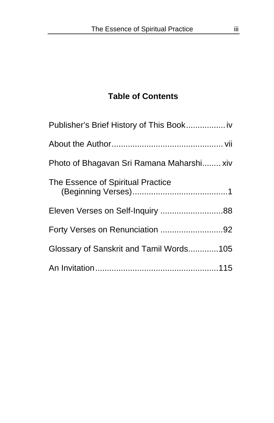# **Table of Contents**

| Photo of Bhagavan Sri Ramana Maharshi xiv |
|-------------------------------------------|
| The Essence of Spiritual Practice         |
|                                           |
| Forty Verses on Renunciation 92           |
| Glossary of Sanskrit and Tamil Words105   |
|                                           |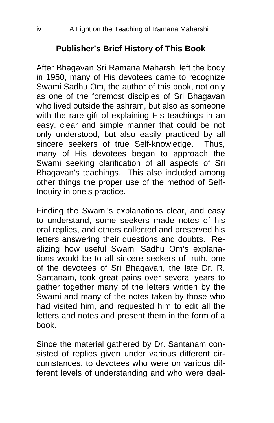## **Publisher's Brief History of This Book**

After Bhagavan Sri Ramana Maharshi left the body in 1950, many of His devotees came to recognize Swami Sadhu Om, the author of this book, not only as one of the foremost disciples of Sri Bhagavan who lived outside the ashram, but also as someone with the rare gift of explaining His teachings in an easy, clear and simple manner that could be not only understood, but also easily practiced by all sincere seekers of true Self-knowledge. Thus, many of His devotees began to approach the Swami seeking clarification of all aspects of Sri Bhagavan's teachings. This also included among other things the proper use of the method of Self-Inquiry in one's practice.

Finding the Swami's explanations clear, and easy to understand, some seekers made notes of his oral replies, and others collected and preserved his letters answering their questions and doubts. Realizing how useful Swami Sadhu Om's explanations would be to all sincere seekers of truth, one of the devotees of Sri Bhagavan, the late Dr. R. Santanam, took great pains over several years to gather together many of the letters written by the Swami and many of the notes taken by those who had visited him, and requested him to edit all the letters and notes and present them in the form of a book.

Since the material gathered by Dr. Santanam consisted of replies given under various different circumstances, to devotees who were on various different levels of understanding and who were deal-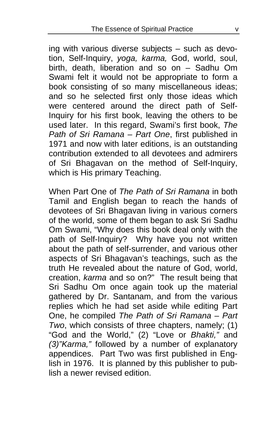ing with various diverse subjects – such as devotion, Self-Inquiry, *yoga, karma,* God, world, soul, birth, death, liberation and so on – Sadhu Om Swami felt it would not be appropriate to form a book consisting of so many miscellaneous ideas; and so he selected first only those ideas which were centered around the direct path of Self-Inquiry for his first book, leaving the others to be used later. In this regard, Swami's first book, *The Path of Sri Ramana – Part One*, first published in 1971 and now with later editions, is an outstanding contribution extended to all devotees and admirers of Sri Bhagavan on the method of Self-Inquiry, which is His primary Teaching.

When Part One of *The Path of Sri Ramana* in both Tamil and English began to reach the hands of devotees of Sri Bhagavan living in various corners of the world, some of them began to ask Sri Sadhu Om Swami, "Why does this book deal only with the path of Self-Inquiry? Why have you not written about the path of self-surrender, and various other aspects of Sri Bhagavan's teachings, such as the truth He revealed about the nature of God, world, creation, *karma* and so on?" The result being that Sri Sadhu Om once again took up the material gathered by Dr. Santanam, and from the various replies which he had set aside while editing Part One, he compiled *The Path of Sri Ramana – Part Two*, which consists of three chapters, namely; (1) "God and the World," (2) "Love or *Bhakti,"* and *(3)"Karma,"* followed by a number of explanatory appendices. Part Two was first published in English in 1976. It is planned by this publisher to publish a newer revised edition.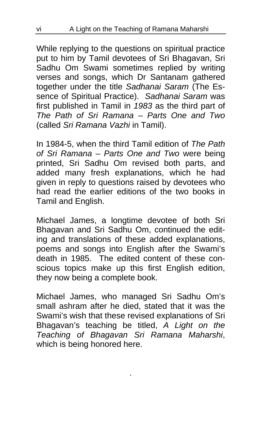While replying to the questions on spiritual practice put to him by Tamil devotees of Sri Bhagavan, Sri Sadhu Om Swami sometimes replied by writing verses and songs, which Dr Santanam gathered together under the title *Sadhanai Saram* (The Essence of Spiritual Practice). *Sadhanai Saram* was first published in Tamil in *1983* as the third part of *The Path of Sri Ramana – Parts One and Two*  (called *Sri Ramana Vazhi* in Tamil).

In 1984-5, when the third Tamil edition of *The Path of Sri Ramana* – *Parts One and Two* were being printed, Sri Sadhu Om revised both parts, and added many fresh explanations, which he had given in reply to questions raised by devotees who had read the earlier editions of the two books in Tamil and English.

Michael James, a longtime devotee of both Sri Bhagavan and Sri Sadhu Om, continued the editing and translations of these added explanations, poems and songs into English after the Swami's death in 1985. The edited content of these conscious topics make up this first English edition, they now being a complete book.

Michael James, who managed Sri Sadhu Om's small ashram after he died, stated that it was the Swami's wish that these revised explanations of Sri Bhagavan's teaching be titled, *A Light on the Teaching of Bhagavan Sri Ramana Maharshi*, which is being honored here.

.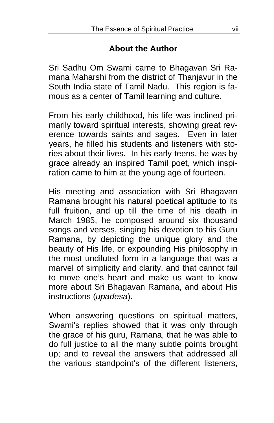#### **About the Author**

Sri Sadhu Om Swami came to Bhagavan Sri Ramana Maharshi from the district of Thanjavur in the South India state of Tamil Nadu. This region is famous as a center of Tamil learning and culture.

From his early childhood, his life was inclined primarily toward spiritual interests, showing great reverence towards saints and sages. Even in later years, he filled his students and listeners with stories about their lives. In his early teens, he was by grace already an inspired Tamil poet, which inspiration came to him at the young age of fourteen.

His meeting and association with Sri Bhagavan Ramana brought his natural poetical aptitude to its full fruition, and up till the time of his death in March 1985, he composed around six thousand songs and verses, singing his devotion to his Guru Ramana, by depicting the unique glory and the beauty of His life, or expounding His philosophy in the most undiluted form in a language that was a marvel of simplicity and clarity, and that cannot fail to move one's heart and make us want to know more about Sri Bhagavan Ramana, and about His instructions (*upadesa*).

When answering questions on spiritual matters, Swami's replies showed that it was only through the grace of his guru, Ramana, that he was able to do full justice to all the many subtle points brought up; and to reveal the answers that addressed all the various standpoint's of the different listeners,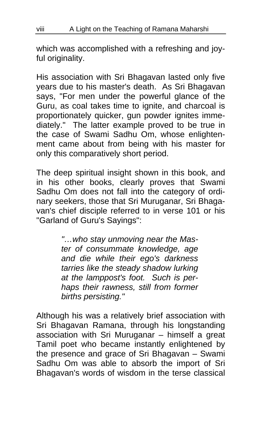which was accomplished with a refreshing and joyful originality.

His association with Sri Bhagavan lasted only five years due to his master's death. As Sri Bhagavan says, "For men under the powerful glance of the Guru, as coal takes time to ignite, and charcoal is proportionately quicker, gun powder ignites immediately." The latter example proved to be true in the case of Swami Sadhu Om, whose enlightenment came about from being with his master for only this comparatively short period.

The deep spiritual insight shown in this book, and in his other books, clearly proves that Swami Sadhu Om does not fall into the category of ordinary seekers, those that Sri Muruganar, Sri Bhagavan's chief disciple referred to in verse 101 or his "Garland of Guru's Sayings":

> *"…who stay unmoving near the Master of consummate knowledge, age and die while their ego's darkness tarries like the steady shadow lurking at the lamppost's foot. Such is perhaps their rawness, still from former births persisting."*

Although his was a relatively brief association with Sri Bhagavan Ramana, through his longstanding association with Sri Muruganar – himself a great Tamil poet who became instantly enlightened by the presence and grace of Sri Bhagavan – Swami Sadhu Om was able to absorb the import of Sri Bhagavan's words of wisdom in the terse classical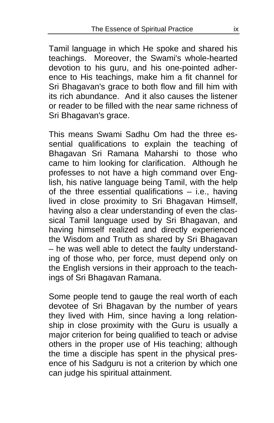Tamil language in which He spoke and shared his teachings. Moreover, the Swami's whole-hearted devotion to his guru, and his one-pointed adherence to His teachings, make him a fit channel for Sri Bhagavan's grace to both flow and fill him with its rich abundance. And it also causes the listener or reader to be filled with the near same richness of Sri Bhagavan's grace.

This means Swami Sadhu Om had the three essential qualifications to explain the teaching of Bhagavan Sri Ramana Maharshi to those who came to him looking for clarification. Although he professes to not have a high command over English, his native language being Tamil, with the help of the three essential qualifications – i.e., having lived in close proximity to Sri Bhagavan Himself, having also a clear understanding of even the classical Tamil language used by Sri Bhagavan, and having himself realized and directly experienced the Wisdom and Truth as shared by Sri Bhagavan – he was well able to detect the faulty understanding of those who, per force, must depend only on the English versions in their approach to the teachings of Sri Bhagavan Ramana.

Some people tend to gauge the real worth of each devotee of Sri Bhagavan by the number of years they lived with Him, since having a long relationship in close proximity with the Guru is usually a major criterion for being qualified to teach or advise others in the proper use of His teaching; although the time a disciple has spent in the physical presence of his Sadguru is not a criterion by which one can judge his spiritual attainment.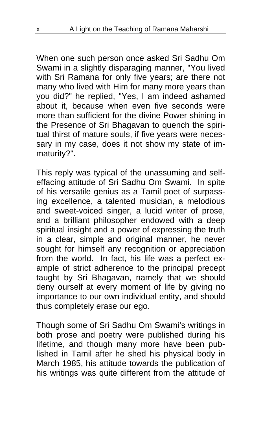When one such person once asked Sri Sadhu Om Swami in a slightly disparaging manner, "You lived with Sri Ramana for only five years; are there not many who lived with Him for many more years than you did?" he replied, "Yes, I am indeed ashamed about it, because when even five seconds were more than sufficient for the divine Power shining in the Presence of Sri Bhagavan to quench the spiritual thirst of mature souls, if five years were necessary in my case, does it not show my state of immaturity?".

This reply was typical of the unassuming and selfeffacing attitude of Sri Sadhu Om Swami. In spite of his versatile genius as a Tamil poet of surpassing excellence, a talented musician, a melodious and sweet-voiced singer, a lucid writer of prose, and a brilliant philosopher endowed with a deep spiritual insight and a power of expressing the truth in a clear, simple and original manner, he never sought for himself any recognition or appreciation from the world. In fact, his life was a perfect example of strict adherence to the principal precept taught by Sri Bhagavan, namely that we should deny ourself at every moment of life by giving no importance to our own individual entity, and should thus completely erase our ego.

Though some of Sri Sadhu Om Swami's writings in both prose and poetry were published during his lifetime, and though many more have been published in Tamil after he shed his physical body in March 1985, his attitude towards the publication of his writings was quite different from the attitude of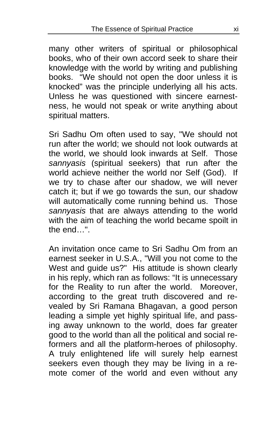many other writers of spiritual or philosophical books, who of their own accord seek to share their knowledge with the world by writing and publishing books. "We should not open the door unless it is knocked" was the principle underlying all his acts. Unless he was questioned with sincere earnestness, he would not speak or write anything about spiritual matters.

Sri Sadhu Om often used to say, "We should not run after the world; we should not look outwards at the world, we should look inwards at Self. Those *sannyasis* (spiritual seekers) that run after the world achieve neither the world nor Self (God). If we try to chase after our shadow, we will never catch it; but if we go towards the sun, our shadow will automatically come running behind us. Those *sannyasis* that are always attending to the world with the aim of teaching the world became spoilt in the end…".

An invitation once came to Sri Sadhu Om from an earnest seeker in U.S.A., "Will you not come to the West and guide us?" His attitude is shown clearly in his reply, which ran as follows: "It is unnecessary for the Reality to run after the world. Moreover, according to the great truth discovered and revealed by Sri Ramana Bhagavan, a good person leading a simple yet highly spiritual life, and passing away unknown to the world, does far greater good to the world than all the political and social reformers and all the platform-heroes of philosophy. A truly enlightened life will surely help earnest seekers even though they may be living in a remote comer of the world and even without any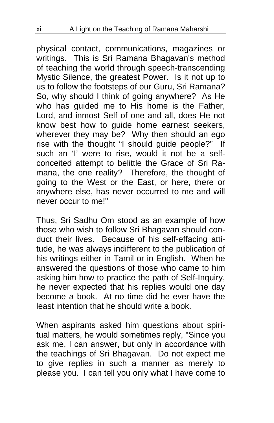physical contact, communications, magazines or writings. This is Sri Ramana Bhagavan's method of teaching the world through speech-transcending Mystic Silence, the greatest Power. Is it not up to us to follow the footsteps of our Guru, Sri Ramana? So, why should I think of going anywhere? As He who has guided me to His home is the Father, Lord, and inmost Self of one and all, does He not know best how to guide home earnest seekers, wherever they may be? Why then should an ego rise with the thought "I should guide people?" If such an 'I' were to rise, would it not be a selfconceited attempt to belittle the Grace of Sri Ramana, the one reality? Therefore, the thought of going to the West or the East, or here, there or anywhere else, has never occurred to me and will never occur to me!"

Thus, Sri Sadhu Om stood as an example of how those who wish to follow Sri Bhagavan should conduct their lives. Because of his self-effacing attitude, he was always indifferent to the publication of his writings either in Tamil or in English. When he answered the questions of those who came to him asking him how to practice the path of Self-Inquiry, he never expected that his replies would one day become a book. At no time did he ever have the least intention that he should write a book.

When aspirants asked him questions about spiritual matters, he would sometimes reply, "Since you ask me, I can answer, but only in accordance with the teachings of Sri Bhagavan. Do not expect me to give replies in such a manner as merely to please you. I can tell you only what I have come to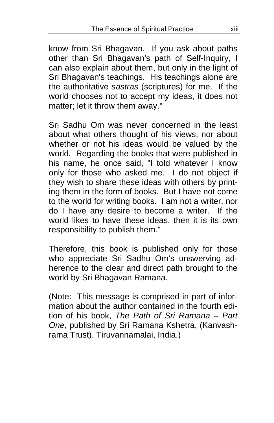know from Sri Bhagavan. If you ask about paths other than Sri Bhagavan's path of Self-Inquiry, I can also explain about them, but only in the light of Sri Bhagavan's teachings. His teachings alone are the authoritative *sastras* (scriptures) for me. If the world chooses not to accept my ideas, it does not matter; let it throw them away."

Sri Sadhu Om was never concerned in the least about what others thought of his views, nor about whether or not his ideas would be valued by the world. Regarding the books that were published in his name, he once said, "I told whatever I know only for those who asked me. I do not object if they wish to share these ideas with others by printing them in the form of books. But I have not come to the world for writing books. I am not a writer, nor do I have any desire to become a writer. If the world likes to have these ideas, then it is its own responsibility to publish them."

Therefore, this book is published only for those who appreciate Sri Sadhu Om's unswerving adherence to the clear and direct path brought to the world by Sri Bhagavan Ramana.

(Note: This message is comprised in part of information about the author contained in the fourth edition of his book, *The Path of Sri Ramana – Part One,* published by Sri Ramana Kshetra, (Kanvashrama Trust). Tiruvannamalai, India.)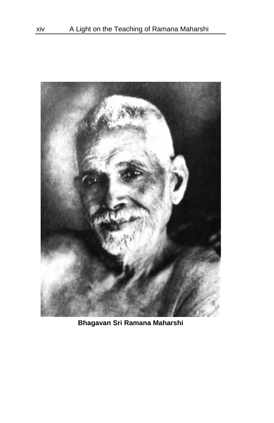

**Bhagavan Sri Ramana Maharshi**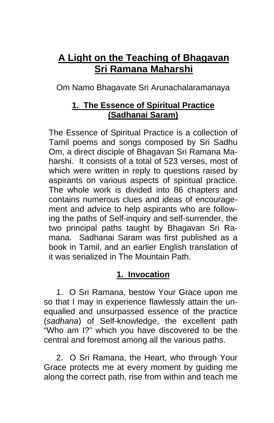# **A Light on the Teaching of Bhagavan Sri Ramana Maharshi**

Om Namo Bhagavate Sri Arunachalaramanaya

# **1. The Essence of Spiritual Practice (Sadhanai Saram)**

The Essence of Spiritual Practice is a collection of Tamil poems and songs composed by Sri Sadhu Om, a direct disciple of Bhagavan Sri Ramana Maharshi. It consists of a total of 523 verses, most of which were written in reply to questions raised by aspirants on various aspects of spiritual practice. The whole work is divided into 86 chapters and contains numerous clues and ideas of encouragement and advice to help aspirants who are following the paths of Self-inquiry and self-surrender, the two principal paths taught by Bhagavan Sri Ramana. Sadhanai Saram was first published as a book in Tamil, and an earlier English translation of it was serialized in The Mountain Path.

# **1. Invocation**

1. O Sri Ramana, bestow Your Grace upon me so that I may in experience flawlessly attain the unequalled and unsurpassed essence of the practice (*sadhana*) of Self-knowledge, the excellent path "Who am I?" which you have discovered to be the central and foremost among all the various paths.

2. O Sri Ramana, the Heart, who through Your Grace protects me at every moment by guiding me along the correct path, rise from within and teach me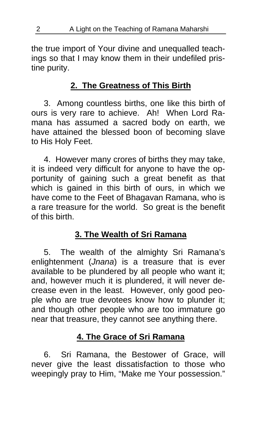the true import of Your divine and unequalled teachings so that I may know them in their undefiled pristine purity.

# **2. The Greatness of This Birth**

3. Among countless births, one like this birth of ours is very rare to achieve. Ah! When Lord Ramana has assumed a sacred body on earth, we have attained the blessed boon of becoming slave to His Holy Feet.

4. However many crores of births they may take, it is indeed very difficult for anyone to have the opportunity of gaining such a great benefit as that which is gained in this birth of ours, in which we have come to the Feet of Bhagavan Ramana, who is a rare treasure for the world. So great is the benefit of this birth.

# **3. The Wealth of Sri Ramana**

5. The wealth of the almighty Sri Ramana's enlightenment (*Jnana*) is a treasure that is ever available to be plundered by all people who want it; and, however much it is plundered, it will never decrease even in the least. However, only good people who are true devotees know how to plunder it; and though other people who are too immature go near that treasure, they cannot see anything there.

# **4. The Grace of Sri Ramana**

6. Sri Ramana, the Bestower of Grace, will never give the least dissatisfaction to those who weepingly pray to Him, "Make me Your possession."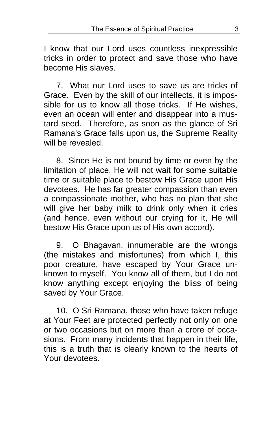I know that our Lord uses countless inexpressible tricks in order to protect and save those who have become His slaves.

7. What our Lord uses to save us are tricks of Grace. Even by the skill of our intellects, it is impossible for us to know all those tricks. If He wishes, even an ocean will enter and disappear into a mustard seed. Therefore, as soon as the glance of Sri Ramana's Grace falls upon us, the Supreme Reality will be revealed.

8. Since He is not bound by time or even by the limitation of place, He will not wait for some suitable time or suitable place to bestow His Grace upon His devotees. He has far greater compassion than even a compassionate mother, who has no plan that she will give her baby milk to drink only when it cries (and hence, even without our crying for it, He will bestow His Grace upon us of His own accord).

9. O Bhagavan, innumerable are the wrongs (the mistakes and misfortunes) from which I, this poor creature, have escaped by Your Grace unknown to myself. You know all of them, but I do not know anything except enjoying the bliss of being saved by Your Grace.

10. O Sri Ramana, those who have taken refuge at Your Feet are protected perfectly not only on one or two occasions but on more than a crore of occasions. From many incidents that happen in their life, this is a truth that is clearly known to the hearts of Your devotees.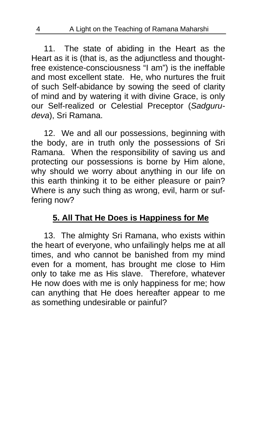11. The state of abiding in the Heart as the Heart as it is (that is, as the adjunctless and thoughtfree existence-consciousness "I am") is the ineffable and most excellent state. He, who nurtures the fruit of such Self-abidance by sowing the seed of clarity of mind and by watering it with divine Grace, is only our Self-realized or Celestial Preceptor (*Sadgurudeva*), Sri Ramana.

12. We and all our possessions, beginning with the body, are in truth only the possessions of Sri Ramana. When the responsibility of saving us and protecting our possessions is borne by Him alone, why should we worry about anything in our life on this earth thinking it to be either pleasure or pain? Where is any such thing as wrong, evil, harm or suffering now?

# **5. All That He Does is Happiness for Me**

13. The almighty Sri Ramana, who exists within the heart of everyone, who unfailingly helps me at all times, and who cannot be banished from my mind even for a moment, has brought me close to Him only to take me as His slave. Therefore, whatever He now does with me is only happiness for me; how can anything that He does hereafter appear to me as something undesirable or painful?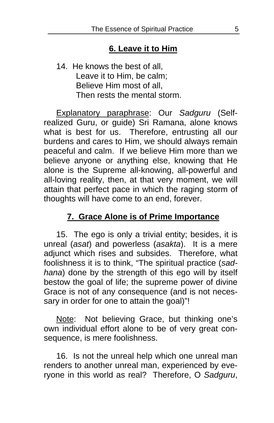#### **6. Leave it to Him**

14. He knows the best of all, Leave it to Him, be calm; Believe Him most of all, Then rests the mental storm.

Explanatory paraphrase: Our *Sadguru* (Selfrealized Guru, or guide) Sri Ramana, alone knows what is best for us. Therefore, entrusting all our burdens and cares to Him, we should always remain peaceful and calm. If we believe Him more than we believe anyone or anything else, knowing that He alone is the Supreme all-knowing, all-powerful and all-loving reality, then, at that very moment, we will attain that perfect pace in which the raging storm of thoughts will have come to an end, forever.

#### **7. Grace Alone is of Prime Importance**

15. The ego is only a trivial entity; besides, it is unreal (*asat*) and powerless (*asakta*). It is a mere adjunct which rises and subsides. Therefore, what foolishness it is to think, "The spiritual practice (*sadhana*) done by the strength of this ego will by itself bestow the goal of life; the supreme power of divine Grace is not of any consequence (and is not necessary in order for one to attain the goal)"!

Note: Not believing Grace, but thinking one's own individual effort alone to be of very great consequence, is mere foolishness.

16. Is not the unreal help which one unreal man renders to another unreal man, experienced by everyone in this world as real? Therefore, O *Sadguru*,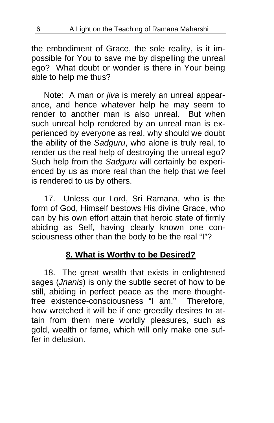the embodiment of Grace, the sole reality, is it impossible for You to save me by dispelling the unreal ego? What doubt or wonder is there in Your being able to help me thus?

Note: A man or *jiva* is merely an unreal appearance, and hence whatever help he may seem to render to another man is also unreal. But when such unreal help rendered by an unreal man is experienced by everyone as real, why should we doubt the ability of the *Sadguru*, who alone is truly real, to render us the real help of destroying the unreal ego? Such help from the *Sadguru* will certainly be experienced by us as more real than the help that we feel is rendered to us by others.

17. Unless our Lord, Sri Ramana, who is the form of God, Himself bestows His divine Grace, who can by his own effort attain that heroic state of firmly abiding as Self, having clearly known one consciousness other than the body to be the real "I"?

#### **8. What is Worthy to be Desired?**

18. The great wealth that exists in enlightened sages (*Jnanis*) is only the subtle secret of how to be still, abiding in perfect peace as the mere thoughtfree existence-consciousness "I am." Therefore, how wretched it will be if one greedily desires to attain from them mere worldly pleasures, such as gold, wealth or fame, which will only make one suffer in delusion.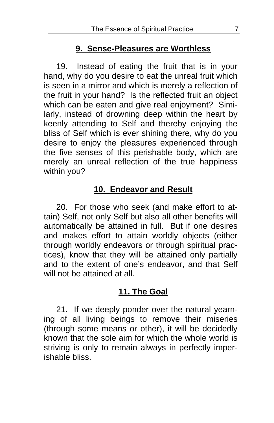#### **9. Sense-Pleasures are Worthless**

19. Instead of eating the fruit that is in your hand, why do you desire to eat the unreal fruit which is seen in a mirror and which is merely a reflection of the fruit in your hand? Is the reflected fruit an object which can be eaten and give real enjoyment? Similarly, instead of drowning deep within the heart by keenly attending to Self and thereby enjoying the bliss of Self which is ever shining there, why do you desire to enjoy the pleasures experienced through the five senses of this perishable body, which are merely an unreal reflection of the true happiness within you?

#### **10. Endeavor and Result**

20. For those who seek (and make effort to attain) Self, not only Self but also all other benefits will automatically be attained in full. But if one desires and makes effort to attain worldly objects (either through worldly endeavors or through spiritual practices), know that they will be attained only partially and to the extent of one's endeavor, and that Self will not be attained at all.

#### **11. The Goal**

21. If we deeply ponder over the natural yearning of all living beings to remove their miseries (through some means or other), it will be decidedly known that the sole aim for which the whole world is striving is only to remain always in perfectly imperishable bliss.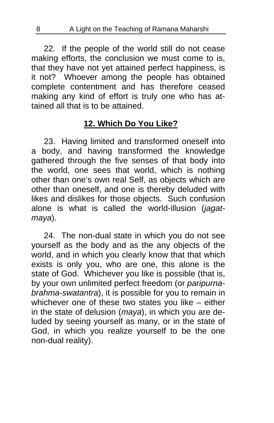22. If the people of the world still do not cease making efforts, the conclusion we must come to is, that they have not yet attained perfect happiness, is it not? Whoever among the people has obtained complete contentment and has therefore ceased making any kind of effort is truly one who has attained all that is to be attained.

# **12. Which Do You Like?**

23. Having limited and transformed oneself into a body, and having transformed the knowledge gathered through the five senses of that body into the world, one sees that world, which is nothing other than one's own real Self, as objects which are other than oneself, and one is thereby deluded with likes and dislikes for those objects. Such confusion alone is what is called the world-illusion (*jagatmaya*).

24. The non-dual state in which you do not see yourself as the body and as the any objects of the world, and in which you clearly know that that which exists is only you, who are one, this alone is the state of God. Whichever you like is possible (that is, by your own unlimited perfect freedom (or *paripurnabrahma-swatantra*), it is possible for you to remain in whichever one of these two states you like – either in the state of delusion (*maya*), in which you are deluded by seeing yourself as many, or in the state of God, in which you realize yourself to be the one non-dual reality).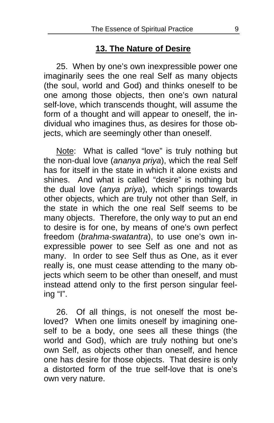#### **13. The Nature of Desire**

25. When by one's own inexpressible power one imaginarily sees the one real Self as many objects (the soul, world and God) and thinks oneself to be one among those objects, then one's own natural self-love, which transcends thought, will assume the form of a thought and will appear to oneself, the individual who imagines thus, as desires for those objects, which are seemingly other than oneself.

Note: What is called "love" is truly nothing but the non-dual love (*ananya priya*), which the real Self has for itself in the state in which it alone exists and shines. And what is called "desire" is nothing but the dual love (*anya priya*), which springs towards other objects, which are truly not other than Self, in the state in which the one real Self seems to be many objects. Therefore, the only way to put an end to desire is for one, by means of one's own perfect freedom (*brahma-swatantra*), to use one's own inexpressible power to see Self as one and not as many. In order to see Self thus as One, as it ever really is, one must cease attending to the many objects which seem to be other than oneself, and must instead attend only to the first person singular feeling "I".

26. Of all things, is not oneself the most beloved? When one limits oneself by imagining oneself to be a body, one sees all these things (the world and God), which are truly nothing but one's own Self, as objects other than oneself, and hence one has desire for those objects. That desire is only a distorted form of the true self-love that is one's own very nature.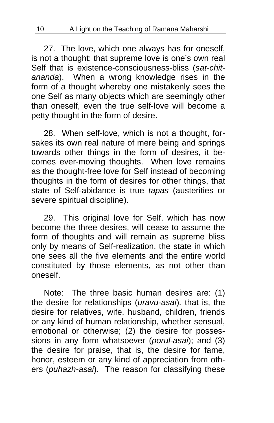27. The love, which one always has for oneself, is not a thought; that supreme love is one's own real Self that is existence-consciousness-bliss (*sat-chitananda*). When a wrong knowledge rises in the form of a thought whereby one mistakenly sees the one Self as many objects which are seemingly other than oneself, even the true self-love will become a petty thought in the form of desire.

28. When self-love, which is not a thought, forsakes its own real nature of mere being and springs towards other things in the form of desires, it becomes ever-moving thoughts. When love remains as the thought-free love for Self instead of becoming thoughts in the form of desires for other things, that state of Self-abidance is true *tapas* (austerities or severe spiritual discipline).

29. This original love for Self, which has now become the three desires, will cease to assume the form of thoughts and will remain as supreme bliss only by means of Self-realization, the state in which one sees all the five elements and the entire world constituted by those elements, as not other than oneself.

Note: The three basic human desires are: (1) the desire for relationships (*uravu-asai*)*,* that is, the desire for relatives, wife, husband, children, friends or any kind of human relationship, whether sensual, emotional or otherwise; (2) the desire for possessions in any form whatsoever (*porul-asai*); and (3) the desire for praise, that is, the desire for fame, honor, esteem or any kind of appreciation from others (*puhazh-asai*). The reason for classifying these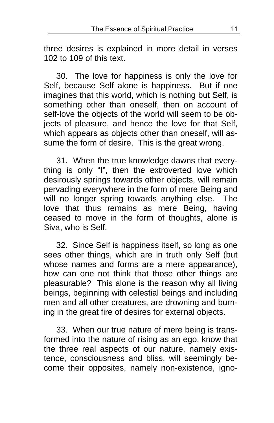three desires is explained in more detail in verses 102 to 109 of this text.

30. The love for happiness is only the love for Self, because Self alone is happiness. But if one imagines that this world, which is nothing but Self, is something other than oneself, then on account of self-love the objects of the world will seem to be objects of pleasure, and hence the love for that Self, which appears as objects other than oneself, will assume the form of desire. This is the great wrong.

31. When the true knowledge dawns that everything is only "I", then the extroverted love which desirously springs towards other objects, will remain pervading everywhere in the form of mere Being and will no longer spring towards anything else. The love that thus remains as mere Being, having ceased to move in the form of thoughts, alone is Siva, who is Self.

32. Since Self is happiness itself, so long as one sees other things, which are in truth only Self (but whose names and forms are a mere appearance), how can one not think that those other things are pleasurable? This alone is the reason why all living beings, beginning with celestial beings and including men and all other creatures, are drowning and burning in the great fire of desires for external objects.

33. When our true nature of mere being is transformed into the nature of rising as an ego, know that the three real aspects of our nature, namely existence, consciousness and bliss, will seemingly become their opposites, namely non-existence, igno-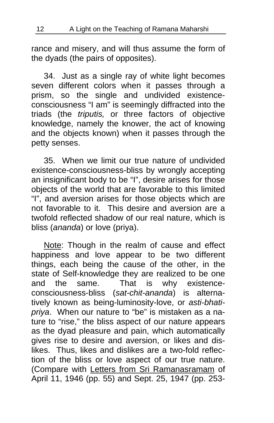rance and misery, and will thus assume the form of the dyads (the pairs of opposites).

34. Just as a single ray of white light becomes seven different colors when it passes through a prism, so the single and undivided existenceconsciousness "I am" is seemingly diffracted into the triads (the *triputis,* or three factors of objective knowledge, namely the knower, the act of knowing and the objects known) when it passes through the petty senses.

35. When we limit our true nature of undivided existence-consciousness-bliss by wrongly accepting an insignificant body to be "I", desire arises for those objects of the world that are favorable to this limited "I", and aversion arises for those objects which are not favorable to it. This desire and aversion are a twofold reflected shadow of our real nature, which is bliss (*ananda*) or love (priya).

Note: Though in the realm of cause and effect happiness and love appear to be two different things, each being the cause of the other, in the state of Self-knowledge they are realized to be one and the same. That is why existenceconsciousness-bliss (*sat-chit-ananda*) is alternatively known as being-luminosity-love, or *asti-bhatipriya*. When our nature to "be" is mistaken as a nature to "rise," the bliss aspect of our nature appears as the dyad pleasure and pain, which automatically gives rise to desire and aversion, or likes and dislikes. Thus, likes and dislikes are a two-fold reflection of the bliss or love aspect of our true nature. (Compare with Letters from Sri Ramanasramam of April 11, 1946 (pp. 55) and Sept. 25, 1947 (pp. 253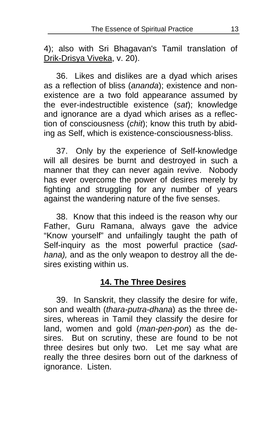4); also with Sri Bhagavan's Tamil translation of Drik-Drisya Viveka, v. 20).

36. Likes and dislikes are a dyad which arises as a reflection of bliss (*ananda*); existence and nonexistence are a two fold appearance assumed by the ever-indestructible existence (*sat*); knowledge and ignorance are a dyad which arises as a reflection of consciousness (*chit*); know this truth by abiding as Self, which is existence-consciousness-bliss.

37. Only by the experience of Self-knowledge will all desires be burnt and destroyed in such a manner that they can never again revive. Nobody has ever overcome the power of desires merely by fighting and struggling for any number of years against the wandering nature of the five senses.

38. Know that this indeed is the reason why our Father, Guru Ramana, always gave the advice "Know yourself" and unfailingly taught the path of Self-inquiry as the most powerful practice (*sadhana),* and as the only weapon to destroy all the desires existing within us.

#### **14. The Three Desires**

39. In Sanskrit, they classify the desire for wife, son and wealth (*thara-putra-dhana*) as the three desires, whereas in Tamil they classify the desire for land, women and gold (*man-pen-pon*) as the desires. But on scrutiny, these are found to be not three desires but only two. Let me say what are really the three desires born out of the darkness of ignorance. Listen.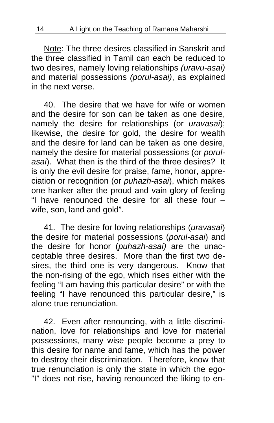Note: The three desires classified in Sanskrit and the three classified in Tamil can each be reduced to two desires, namely loving relationships *(uravu-asai)* and material possessions *(porul-asai)*, as explained in the next verse.

40. The desire that we have for wife or women and the desire for son can be taken as one desire, namely the desire for relationships (or *uravasai*); likewise, the desire for gold, the desire for wealth and the desire for land can be taken as one desire, namely the desire for material possessions (or *porulasai*). What then is the third of the three desires? It is only the evil desire for praise, fame, honor, appreciation or recognition (or *puhazh-asai*), which makes one hanker after the proud and vain glory of feeling "I have renounced the desire for all these four – wife, son, land and gold".

41. The desire for loving relationships (*uravasai*) the desire for material possessions (*porul*-*asai*) and the desire for honor (*puhazh*-*asai)* are the unacceptable three desires. More than the first two desires, the third one is very dangerous. Know that the non-rising of the ego, which rises either with the feeling "I am having this particular desire" or with the feeling "I have renounced this particular desire," is alone true renunciation.

42. Even after renouncing, with a little discrimination, love for relationships and love for material possessions, many wise people become a prey to this desire for name and fame, which has the power to destroy their discrimination. Therefore, know that true renunciation is only the state in which the ego- "I" does not rise, having renounced the liking to en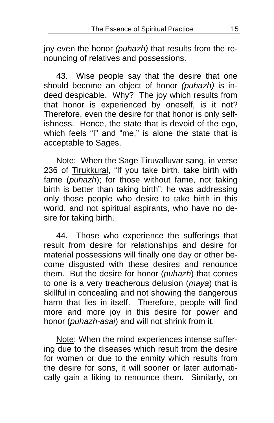joy even the honor *(puhazh)* that results from the renouncing of relatives and possessions.

43. Wise people say that the desire that one should become an object of honor *(puhazh)* is indeed despicable. Why? The joy which results from that honor is experienced by oneself, is it not? Therefore, even the desire for that honor is only selfishness. Hence, the state that is devoid of the ego, which feels "I" and "me," is alone the state that is acceptable to Sages.

Note: When the Sage Tiruvalluvar sang, in verse 236 of Tirukkural, "If you take birth, take birth with fame (*puhazh*); for those without fame, not taking birth is better than taking birth", he was addressing only those people who desire to take birth in this world, and not spiritual aspirants, who have no desire for taking birth.

44. Those who experience the sufferings that result from desire for relationships and desire for material possessions will finally one day or other become disgusted with these desires and renounce them. But the desire for honor (*puhazh*) that comes to one is a very treacherous delusion (*maya*) that is skillful in concealing and not showing the dangerous harm that lies in itself. Therefore, people will find more and more joy in this desire for power and honor (*puhazh-asai*) and will not shrink from it.

Note: When the mind experiences intense suffering due to the diseases which result from the desire for women or due to the enmity which results from the desire for sons, it will sooner or later automatically gain a liking to renounce them. Similarly, on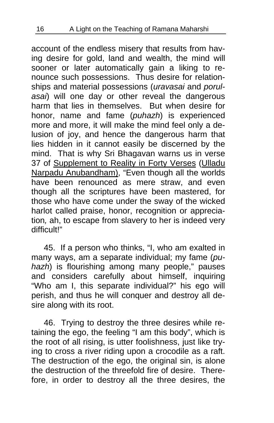account of the endless misery that results from having desire for gold, land and wealth, the mind will sooner or later automatically gain a liking to renounce such possessions. Thus desire for relationships and material possessions (*uravasai* and *porulasai*) will one day or other reveal the dangerous harm that lies in themselves. But when desire for honor, name and fame (*puhazh*) is experienced more and more, it will make the mind feel only a delusion of joy, and hence the dangerous harm that lies hidden in it cannot easily be discerned by the mind. That is why Sri Bhagavan warns us in verse 37 of Supplement to Reality in Forty Verses (Ulladu Narpadu Anubandham), "Even though all the worlds have been renounced as mere straw, and even though all the scriptures have been mastered, for those who have come under the sway of the wicked harlot called praise, honor, recognition or appreciation*,* ah, to escape from slavery to her is indeed very difficult!"

45. If a person who thinks, "I, who am exalted in many ways, am a separate individual; my fame (*puhazh*) is flourishing among many people," pauses and considers carefully about himself, inquiring "Who am I, this separate individual?" his ego will perish, and thus he will conquer and destroy all desire along with its root.

46. Trying to destroy the three desires while retaining the ego, the feeling "I am this body", which is the root of all rising, is utter foolishness, just like trying to cross a river riding upon a crocodile as a raft. The destruction of the ego, the original sin, is alone the destruction of the threefold fire of desire. Therefore, in order to destroy all the three desires, the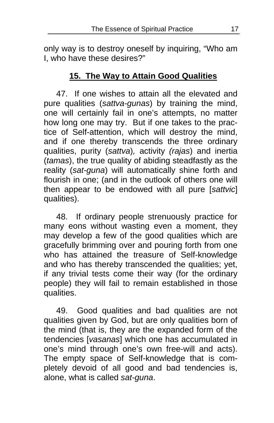only way is to destroy oneself by inquiring, "Who am I, who have these desires?"

### **15. The Way to Attain Good Qualities**

47. If one wishes to attain all the elevated and pure qualities (*sattva-gunas*) by training the mind, one will certainly fail in one's attempts, no matter how long one may try. But if one takes to the practice of Self-attention, which will destroy the mind, and if one thereby transcends the three ordinary qualities, purity (*sattva*)*,* activity *(rajas*) and inertia (*tamas*), the true quality of abiding steadfastly as the reality (*sat-guna*) will automatically shine forth and flourish in one; (and in the outlook of others one will then appear to be endowed with all pure [*sattvic*] qualities).

48. If ordinary people strenuously practice for many eons without wasting even a moment, they may develop a few of the good qualities which are gracefully brimming over and pouring forth from one who has attained the treasure of Self-knowledge and who has thereby transcended the qualities; yet, if any trivial tests come their way (for the ordinary people) they will fail to remain established in those qualities.

49. Good qualities and bad qualities are not qualities given by God, but are only qualities born of the mind (that is, they are the expanded form of the tendencies [*vasanas*] which one has accumulated in one's mind through one's own free-will and acts). The empty space of Self-knowledge that is completely devoid of all good and bad tendencies is, alone, what is called *sat-guna*.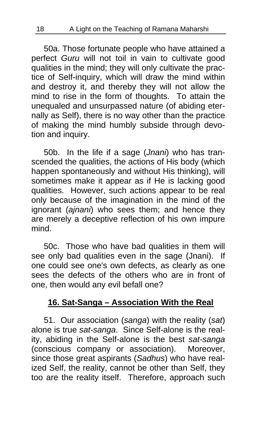50a. Those fortunate people who have attained a perfect *Guru* will not toil in vain to cultivate good qualities in the mind; they will only cultivate the practice of Self-inquiry, which will draw the mind within and destroy it, and thereby they will not allow the mind to rise in the form of thoughts. To attain the unequaled and unsurpassed nature (of abiding eternally as Self), there is no way other than the practice of making the mind humbly subside through devotion and inquiry.

50b. In the life if a sage (*Jnani*) who has transcended the qualities, the actions of His body (which happen spontaneously and without His thinking), will sometimes make it appear as if He is lacking good qualities. However, such actions appear to be real only because of the imagination in the mind of the ignorant (*ajnani*) who sees them; and hence they are merely a deceptive reflection of his own impure mind.

50c. Those who have bad qualities in them will see only bad qualities even in the sage (Jnani). If one could see one's own defects, as clearly as one sees the defects of the others who are in front of one, then would any evil befall one?

#### **16. Sat-Sanga – Association With the Real**

51. Our association (*sanga*) with the reality (*sat*) alone is true *sat-sanga*. Since Self-alone is the reality, abiding in the Self-alone is the best *sat-sanga*  (conscious company or association). Moreover, since those great aspirants (*Sadhus*) who have realized Self, the reality, cannot be other than Self, they too are the reality itself. Therefore, approach such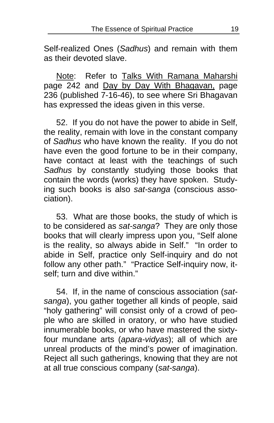Self-realized Ones (*Sadhus*) and remain with them as their devoted slave.

Note: Refer to Talks With Ramana Maharshi page 242 and Day by Day With Bhagavan, page 236 (published 7-16-46), to see where Sri Bhagavan has expressed the ideas given in this verse.

52. If you do not have the power to abide in Self, the reality, remain with love in the constant company of *Sadhus* who have known the reality. If you do not have even the good fortune to be in their company, have contact at least with the teachings of such *Sadhus* by constantly studying those books that contain the words (works) they have spoken. Studying such books is also *sat-sanga* (conscious association).

53. What are those books, the study of which is to be considered as *sat-sanga*? They are only those books that will clearly impress upon you, "Self alone is the reality, so always abide in Self." "In order to abide in Self, practice only Self-inquiry and do not follow any other path." "Practice Self-inquiry now, itself; turn and dive within."

54. If, in the name of conscious association (*satsanga*), you gather together all kinds of people, said "holy gathering" will consist only of a crowd of people who are skilled in oratory, or who have studied innumerable books, or who have mastered the sixtyfour mundane arts (*apara-vidyas*); all of which are unreal products of the mind's power of imagination. Reject all such gatherings, knowing that they are not at all true conscious company (*sat-sanga*).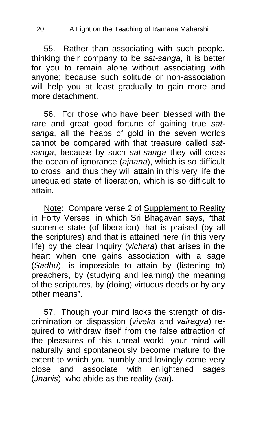55. Rather than associating with such people, thinking their company to be *sat-sanga*, it is better for you to remain alone without associating with anyone; because such solitude or non-association will help you at least gradually to gain more and more detachment.

56. For those who have been blessed with the rare and great good fortune of gaining true *satsanga*, all the heaps of gold in the seven worlds cannot be compared with that treasure called *satsanga*, because by such *sat-sanga* they will cross the ocean of ignorance (*ajnana*), which is so difficult to cross, and thus they will attain in this very life the unequaled state of liberation, which is so difficult to attain.

Note: Compare verse 2 of Supplement to Reality in Forty Verses, in which Sri Bhagavan says, "that supreme state (of liberation) that is praised (by all the scriptures) and that is attained here (in this very life) by the clear Inquiry (*vichara*) that arises in the heart when one gains association with a sage (*Sadhu*), is impossible to attain by (listening to) preachers, by (studying and learning) the meaning of the scriptures, by (doing) virtuous deeds or by any other means".

57. Though your mind lacks the strength of discrimination or dispassion (*viveka* and *vairagya*) required to withdraw itself from the false attraction of the pleasures of this unreal world, your mind will naturally and spontaneously become mature to the extent to which you humbly and lovingly come very close and associate with enlightened sages (*Jnanis*), who abide as the reality (*sat*).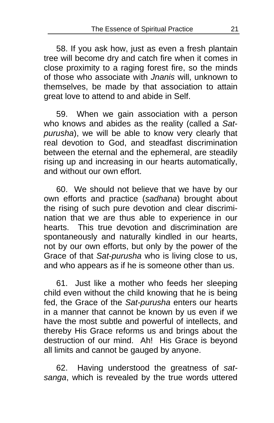58. If you ask how, just as even a fresh plantain tree will become dry and catch fire when it comes in close proximity to a raging forest fire, so the minds of those who associate with *Jnanis* will, unknown to themselves, be made by that association to attain great love to attend to and abide in Self.

59. When we gain association with a person who knows and abides as the reality (called a *Satpurusha*), we will be able to know very clearly that real devotion to God, and steadfast discrimination between the eternal and the ephemeral, are steadily rising up and increasing in our hearts automatically, and without our own effort.

60. We should not believe that we have by our own efforts and practice (*sadhana*) brought about the rising of such pure devotion and clear discrimination that we are thus able to experience in our hearts. This true devotion and discrimination are spontaneously and naturally kindled in our hearts, not by our own efforts, but only by the power of the Grace of that *Sat-purusha* who is living close to us, and who appears as if he is someone other than us.

61. Just like a mother who feeds her sleeping child even without the child knowing that he is being fed, the Grace of the *Sat-purusha* enters our hearts in a manner that cannot be known by us even if we have the most subtle and powerful of intellects, and thereby His Grace reforms us and brings about the destruction of our mind. Ah! His Grace is beyond all limits and cannot be gauged by anyone.

62. Having understood the greatness of *satsanga*, which is revealed by the true words uttered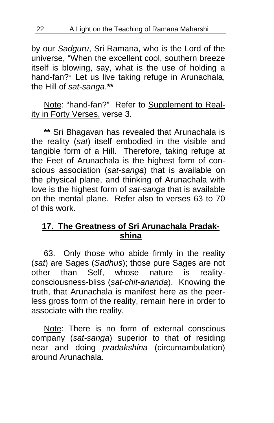by our *Sadguru*, Sri Ramana, who is the Lord of the universe, "When the excellent cool, southern breeze itself is blowing, say, what is the use of holding a hand-fan?" Let us live taking refuge in Arunachala, the Hill of *sat-sanga*.**\*\***

Note: "hand-fan?" Refer to Supplement to Reality in Forty Verses, verse 3.

**\*\*** Sri Bhagavan has revealed that Arunachala is the reality (*sat*) itself embodied in the visible and tangible form of a Hill. Therefore, taking refuge at the Feet of Arunachala is the highest form of conscious association (*sat-sanga*) that is available on the physical plane, and thinking of Arunachala with love is the highest form of *sat-sanga* that is available on the mental plane. Refer also to verses 63 to 70 of this work.

#### **17. The Greatness of Sri Arunachala Pradakshina**

63. Only those who abide firmly in the reality (*sat*) are Sages (*Sadhus*); those pure Sages are not other than Self, whose nature is realityconsciousness-bliss (*sat-chit-ananda*). Knowing the truth, that Arunachala is manifest here as the peerless gross form of the reality, remain here in order to associate with the reality.

Note: There is no form of external conscious company (*sat-sanga*) superior to that of residing near and doing *pradakshina* (circumambulation) around Arunachala.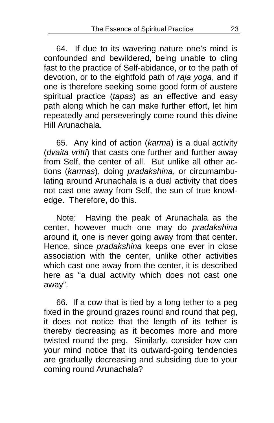64. If due to its wavering nature one's mind is confounded and bewildered, being unable to cling fast to the practice of Self-abidance, or to the path of devotion, or to the eightfold path of *raja yoga*, and if one is therefore seeking some good form of austere spiritual practice (*tapas*) as an effective and easy path along which he can make further effort, let him repeatedly and perseveringly come round this divine Hill Arunachala.

65. Any kind of action (*karma*) is a dual activity (*dvaita vritti*) that casts one further and further away from Self, the center of all. But unlike all other actions (*karmas*), doing *pradakshina*, or circumambulating around Arunachala is a dual activity that does not cast one away from Self, the sun of true knowledge. Therefore, do this.

Note: Having the peak of Arunachala as the center, however much one may do *pradakshina* around it, one is never going away from that center. Hence, since *pradakshina* keeps one ever in close association with the center, unlike other activities which cast one away from the center, it is described here as "a dual activity which does not cast one away".

66. If a cow that is tied by a long tether to a peg fixed in the ground grazes round and round that peg, it does not notice that the length of its tether is thereby decreasing as it becomes more and more twisted round the peg. Similarly, consider how can your mind notice that its outward-going tendencies are gradually decreasing and subsiding due to your coming round Arunachala?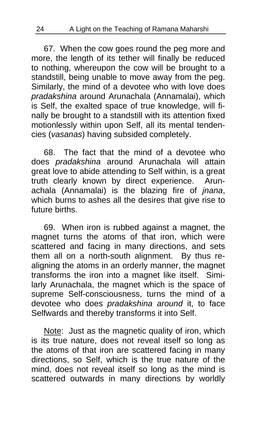67. When the cow goes round the peg more and more, the length of its tether will finally be reduced to nothing, whereupon the cow will be brought to a standstill, being unable to move away from the peg. Similarly, the mind of a devotee who with love does *pradakshina* around Arunachala (Annamalai), which is Self, the exalted space of true knowledge, will finally be brought to a standstill with its attention fixed motionlessly within upon Self, all its mental tendencies (*vasanas*) having subsided completely.

68. The fact that the mind of a devotee who does *pradakshina* around Arunachala will attain great love to abide attending to Self within, is a great truth clearly known by direct experience. Arunachala (Annamalai) is the blazing fire of *jnana*, which burns to ashes all the desires that give rise to future births.

69. When iron is rubbed against a magnet, the magnet turns the atoms of that iron, which were scattered and facing in many directions, and sets them all on a north-south alignment. By thus realigning the atoms in an orderly manner, the magnet transforms the iron into a magnet like itself. Similarly Arunachala, the magnet which is the space of supreme Self-consciousness, turns the mind of a devotee who does *pradakshina around* it, to face Selfwards and thereby transforms it into Self.

Note: Just as the magnetic quality of iron, which is its true nature, does not reveal itself so long as the atoms of that iron are scattered facing in many directions, so Self, which is the true nature of the mind, does not reveal itself so long as the mind is scattered outwards in many directions by worldly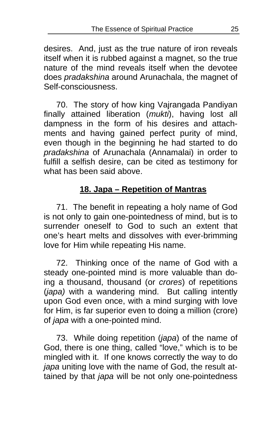desires. And, just as the true nature of iron reveals itself when it is rubbed against a magnet, so the true nature of the mind reveals itself when the devotee does *pradakshina* around Arunachala, the magnet of Self-consciousness.

70. The story of how king Vajrangada Pandiyan finally attained liberation (*mukti*), having lost all dampness in the form of his desires and attachments and having gained perfect purity of mind, even though in the beginning he had started to do *pradakshina* of Arunachala (Annamalai) in order to fulfill a selfish desire, can be cited as testimony for what has been said above.

### **18. Japa – Repetition of Mantras**

71. The benefit in repeating a holy name of God is not only to gain one-pointedness of mind, but is to surrender oneself to God to such an extent that one's heart melts and dissolves with ever-brimming love for Him while repeating His name.

72. Thinking once of the name of God with a steady one-pointed mind is more valuable than doing a thousand, thousand (or *crores*) of repetitions (*japa)* with a wandering mind. But calling intently upon God even once, with a mind surging with love for Him, is far superior even to doing a million (crore) of *japa* with a one-pointed mind.

73. While doing repetition (*japa*) of the name of God, there is one thing, called "love," which is to be mingled with it. If one knows correctly the way to do *japa* uniting love with the name of God, the result attained by that *japa* will be not only one-pointedness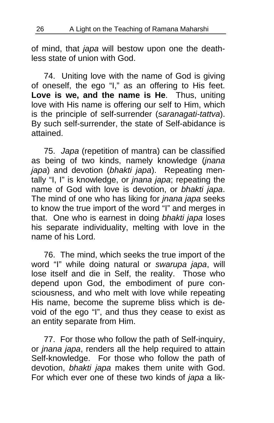of mind, that *japa* will bestow upon one the deathless state of union with God.

74. Uniting love with the name of God is giving of oneself, the ego "I," as an offering to His feet. **Love is we, and the name is He**. Thus, uniting love with His name is offering our self to Him, which is the principle of self-surrender (*saranagati-tattva*). By such self-surrender, the state of Self-abidance is attained.

75. *Japa* (repetition of mantra) can be classified as being of two kinds, namely knowledge (*jnana japa*) and devotion (*bhakti japa*). Repeating mentally "I, I" is knowledge, or *jnana japa*; repeating the name of God with love is devotion, or *bhakti japa*. The mind of one who has liking for *jnana japa* seeks to know the true import of the word "I" and merges in that. One who is earnest in doing *bhakti japa* loses his separate individuality, melting with love in the name of his Lord.

76. The mind, which seeks the true import of the word "I" while doing natural or *swarupa japa*, will lose itself and die in Self, the reality. Those who depend upon God, the embodiment of pure consciousness, and who melt with love while repeating His name, become the supreme bliss which is devoid of the ego "I", and thus they cease to exist as an entity separate from Him.

77. For those who follow the path of Self-inquiry, or *jnana japa*, renders all the help required to attain Self-knowledge. For those who follow the path of devotion, *bhakti japa* makes them unite with God. For which ever one of these two kinds of *japa* a lik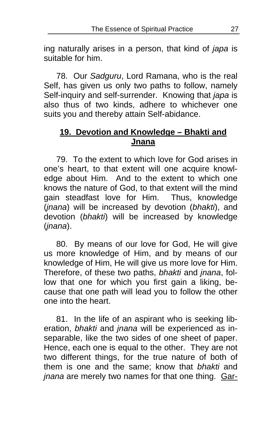ing naturally arises in a person, that kind of *japa* is suitable for him.

78. Our *Sadguru*, Lord Ramana, who is the real Self, has given us only two paths to follow, namely Self-inquiry and self-surrender. Knowing that *japa* is also thus of two kinds, adhere to whichever one suits you and thereby attain Self-abidance.

### **19. Devotion and Knowledge – Bhakti and Jnana**

79. To the extent to which love for God arises in one's heart, to that extent will one acquire knowledge about Him. And to the extent to which one knows the nature of God, to that extent will the mind gain steadfast love for Him. Thus, knowledge (*jnana*) will be increased by devotion (*bhakti*), and devotion (*bhakti*) will be increased by knowledge (*jnana*).

80. By means of our love for God, He will give us more knowledge of Him, and by means of our knowledge of Him, He will give us more love for Him. Therefore, of these two paths, *bhakti* and *jnana*, follow that one for which you first gain a liking, because that one path will lead you to follow the other one into the heart.

81. In the life of an aspirant who is seeking liberation, *bhakti* and *jnana* will be experienced as inseparable, like the two sides of one sheet of paper. Hence, each one is equal to the other. They are not two different things, for the true nature of both of them is one and the same; know that *bhakti* and *jnana* are merely two names for that one thing. Gar-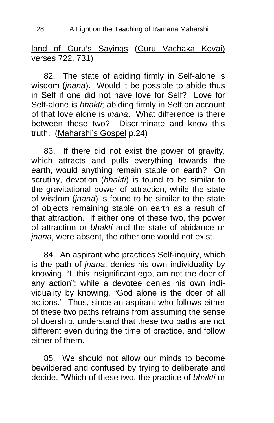land of Guru's Sayings (Guru Vachaka Kovai) verses 722, 731)

82. The state of abiding firmly in Self-alone is wisdom (*jnana*). Would it be possible to abide thus in Self if one did not have love for Self? Love for Self-alone is *bhakti*; abiding firmly in Self on account of that love alone is *jnana*. What difference is there between these two? Discriminate and know this truth. (Maharshi's Gospel p.24)

83. If there did not exist the power of gravity, which attracts and pulls everything towards the earth, would anything remain stable on earth? On scrutiny, devotion (*bhakti*) is found to be similar to the gravitational power of attraction, while the state of wisdom (*jnana*) is found to be similar to the state of objects remaining stable on earth as a result of that attraction. If either one of these two, the power of attraction or *bhakti* and the state of abidance or *jnana*, were absent, the other one would not exist.

84. An aspirant who practices Self-inquiry, which is the path of *jnana*, denies his own individuality by knowing, "I, this insignificant ego, am not the doer of any action"; while a devotee denies his own individuality by knowing, "God alone is the doer of all actions." Thus, since an aspirant who follows either of these two paths refrains from assuming the sense of doership, understand that these two paths are not different even during the time of practice, and follow either of them.

85. We should not allow our minds to become bewildered and confused by trying to deliberate and decide, "Which of these two, the practice of *bhakti* or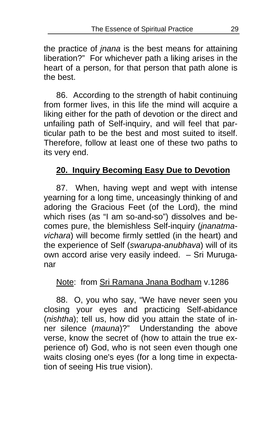the practice of *jnana* is the best means for attaining liberation?" For whichever path a liking arises in the heart of a person, for that person that path alone is the best.

86. According to the strength of habit continuing from former lives, in this life the mind will acquire a liking either for the path of devotion or the direct and unfailing path of Self-inquiry, and will feel that particular path to be the best and most suited to itself. Therefore, follow at least one of these two paths to its very end.

### **20. Inquiry Becoming Easy Due to Devotion**

87. When, having wept and wept with intense yearning for a long time, unceasingly thinking of and adoring the Gracious Feet (of the Lord), the mind which rises (as "I am so-and-so") dissolves and becomes pure, the blemishless Self-inquiry (*jnanatmavichara*) will become firmly settled (in the heart) and the experience of Self (*swarupa-anubhava*) will of its own accord arise very easily indeed. – Sri Muruganar

### Note: from Sri Ramana Jnana Bodham v.1286

88. O, you who say, "We have never seen you closing your eyes and practicing Self-abidance (*nishtha*); tell us, how did you attain the state of inner silence (*mauna*)?" Understanding the above verse, know the secret of (how to attain the true experience of) God, who is not seen even though one waits closing one's eyes (for a long time in expectation of seeing His true vision).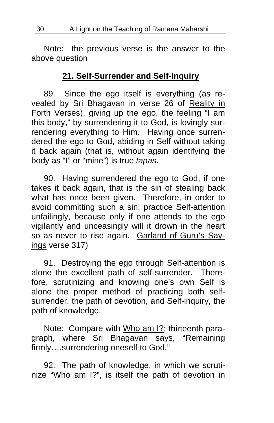Note: the previous verse is the answer to the above question

#### **21. Self-Surrender and Self-Inquiry**

89. Since the ego itself is everything (as revealed by Sri Bhagavan in verse 26 of Reality in Forth Verses), giving up the ego, the feeling "I am this body," by surrendering it to God, is lovingly surrendering everything to Him. Having once surrendered the ego to God, abiding in Self without taking it back again (that is, without again identifying the body as "I" or "mine") is true *tapas*.

90. Having surrendered the ego to God, if one takes it back again, that is the sin of stealing back what has once been given. Therefore, in order to avoid committing such a sin, practice Self-attention unfailingly, because only if one attends to the ego vigilantly and unceasingly will it drown in the heart so as never to rise again. Garland of Guru's Sayings verse 317)

91. Destroying the ego through Self-attention is alone the excellent path of self-surrender. Therefore, scrutinizing and knowing one's own Self is alone the proper method of practicing both selfsurrender, the path of devotion, and Self-inquiry, the path of knowledge.

Note: Compare with Who am I?; thirteenth paragraph, where Sri Bhagavan says, "Remaining firmly….surrendering oneself to God."

92. The path of knowledge, in which we scrutinize "Who am I?", is itself the path of devotion in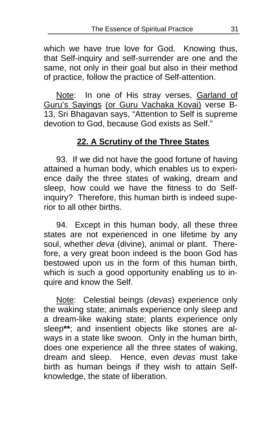which we have true love for God. Knowing thus, that Self-inquiry and self-surrender are one and the same, not only in their goal but also in their method of practice, follow the practice of Self-attention.

Note: In one of His stray verses, Garland of Guru's Sayings (or Guru Vachaka Kovai) verse B-13, Sri Bhagavan says, "Attention to Self is supreme devotion to God, because God exists as Self."

### **22. A Scrutiny of the Three States**

93. If we did not have the good fortune of having attained a human body, which enables us to experience daily the three states of waking, dream and sleep, how could we have the fitness to do Selfinquiry? Therefore, this human birth is indeed superior to all other births.

94. Except in this human body, all these three states are not experienced in one lifetime by any soul, whether *deva* (divine), animal or plant. Therefore, a very great boon indeed is the boon God has bestowed upon us in the form of this human birth, which is such a good opportunity enabling us to inquire and know the Self.

Note: Celestial beings (*devas*) experience only the waking state; animals experience only sleep and a dream-like waking state; plants experience only sleep**\*\***; and insentient objects like stones are always in a state like swoon. Only in the human birth, does one experience all the three states of waking, dream and sleep. Hence, even *devas* must take birth as human beings if they wish to attain Selfknowledge, the state of liberation.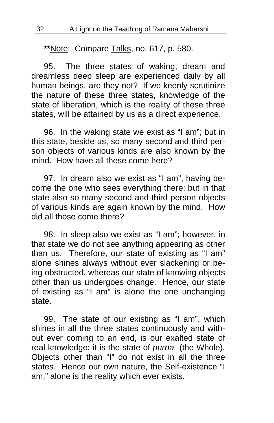**\*\***Note: Compare Talks, no. 617, p. 580.

95. The three states of waking, dream and dreamless deep sleep are experienced daily by all human beings, are they not? If we keenly scrutinize the nature of these three states, knowledge of the state of liberation, which is the reality of these three states, will be attained by us as a direct experience.

96. In the waking state we exist as "I am"; but in this state, beside us, so many second and third person objects of various kinds are also known by the mind. How have all these come here?

97. In dream also we exist as "I am", having become the one who sees everything there; but in that state also so many second and third person objects of various kinds are again known by the mind. How did all those come there?

98. In sleep also we exist as "I am"; however, in that state we do not see anything appearing as other than us. Therefore, our state of existing as "I am" alone shines always without ever slackening or being obstructed, whereas our state of knowing objects other than us undergoes change. Hence, our state of existing as "I am" is alone the one unchanging state.

99. The state of our existing as "I am", which shines in all the three states continuously and without ever coming to an end, is our exalted state of real knowledge; it is the state of *purna* (the Whole). Objects other than "I" do not exist in all the three states. Hence our own nature, the Self-existence "I am," alone is the reality which ever exists.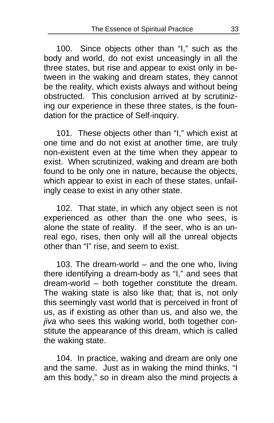100. Since objects other than "I," such as the body and world, do not exist unceasingly in all the three states, but rise and appear to exist only in between in the waking and dream states, they cannot be the reality, which exists always and without being obstructed. This conclusion arrived at by scrutinizing our experience in these three states, is the foundation for the practice of Self-inquiry.

101. These objects other than "I," which exist at one time and do not exist at another time, are truly non-existent even at the time when they appear to exist. When scrutinized, waking and dream are both found to be only one in nature, because the objects, which appear to exist in each of these states, unfailingly cease to exist in any other state.

102. That state, in which any object seen is not experienced as other than the one who sees, is alone the state of reality. If the seer, who is an unreal ego, rises, then only will all the unreal objects other than "I" rise, and seem to exist.

103. The dream-world – and the one who, living there identifying a dream-body as "I," and sees that dream-world – both together constitute the dream. The waking state is also like that; that is, not only this seemingly vast world that is perceived in front of us, as if existing as other than us, and also we, the *jiva* who sees this waking world, both together constitute the appearance of this dream, which is called the waking state.

104. In practice, waking and dream are only one and the same. Just as in waking the mind thinks, "I am this body," so in dream also the mind projects a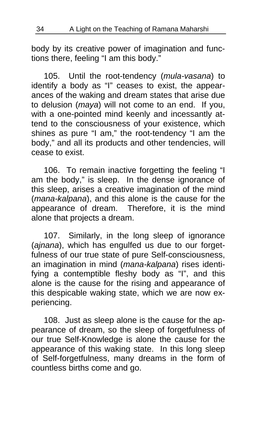body by its creative power of imagination and functions there, feeling "I am this body."

105. Until the root-tendency (*mula-vasana*) to identify a body as "I" ceases to exist, the appearances of the waking and dream states that arise due to delusion (*maya*) will not come to an end. If you, with a one-pointed mind keenly and incessantly attend to the consciousness of your existence, which shines as pure "I am," the root-tendency "I am the body," and all its products and other tendencies, will cease to exist.

106. To remain inactive forgetting the feeling "I am the body," is sleep. In the dense ignorance of this sleep, arises a creative imagination of the mind (*mana-kalpana*), and this alone is the cause for the appearance of dream. Therefore, it is the mind alone that projects a dream.

107. Similarly, in the long sleep of ignorance (*ajnana*), which has engulfed us due to our forgetfulness of our true state of pure Self-consciousness, an imagination in mind (*mana-kalpana*) rises identifying a contemptible fleshy body as "I", and this alone is the cause for the rising and appearance of this despicable waking state, which we are now experiencing.

108. Just as sleep alone is the cause for the appearance of dream, so the sleep of forgetfulness of our true Self-Knowledge is alone the cause for the appearance of this waking state. In this long sleep of Self-forgetfulness, many dreams in the form of countless births come and go.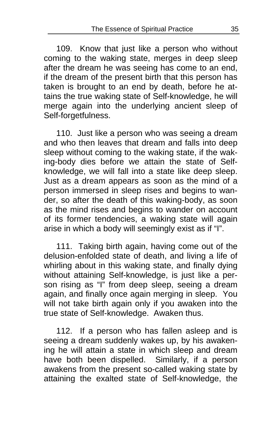109. Know that just like a person who without coming to the waking state, merges in deep sleep after the dream he was seeing has come to an end, if the dream of the present birth that this person has taken is brought to an end by death, before he attains the true waking state of Self-knowledge, he will merge again into the underlying ancient sleep of Self-forgetfulness.

110. Just like a person who was seeing a dream and who then leaves that dream and falls into deep sleep without coming to the waking state, if the waking-body dies before we attain the state of Selfknowledge, we will fall into a state like deep sleep. Just as a dream appears as soon as the mind of a person immersed in sleep rises and begins to wander, so after the death of this waking-body, as soon as the mind rises and begins to wander on account of its former tendencies, a waking state will again arise in which a body will seemingly exist as if "I".

111. Taking birth again, having come out of the delusion-enfolded state of death, and living a life of whirling about in this waking state, and finally dying without attaining Self-knowledge, is just like a person rising as "I" from deep sleep, seeing a dream again, and finally once again merging in sleep. You will not take birth again only if you awaken into the true state of Self-knowledge. Awaken thus.

112. If a person who has fallen asleep and is seeing a dream suddenly wakes up, by his awakening he will attain a state in which sleep and dream have both been dispelled. Similarly, if a person awakens from the present so-called waking state by attaining the exalted state of Self-knowledge, the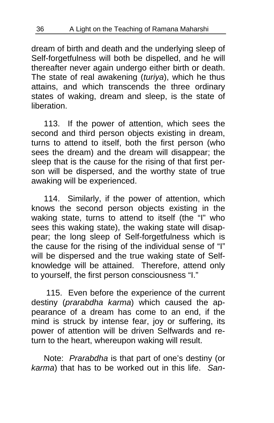dream of birth and death and the underlying sleep of Self-forgetfulness will both be dispelled, and he will thereafter never again undergo either birth or death. The state of real awakening (*turiya*), which he thus attains, and which transcends the three ordinary states of waking, dream and sleep, is the state of liberation.

113. If the power of attention, which sees the second and third person objects existing in dream, turns to attend to itself, both the first person (who sees the dream) and the dream will disappear; the sleep that is the cause for the rising of that first person will be dispersed, and the worthy state of true awaking will be experienced.

114. Similarly, if the power of attention, which knows the second person objects existing in the waking state, turns to attend to itself (the "I" who sees this waking state), the waking state will disappear; the long sleep of Self-forgetfulness which is the cause for the rising of the individual sense of "I" will be dispersed and the true waking state of Selfknowledge will be attained. Therefore, attend only to yourself, the first person consciousness "I."

 115. Even before the experience of the current destiny (*prarabdha karma*) which caused the appearance of a dream has come to an end, if the mind is struck by intense fear, joy or suffering, its power of attention will be driven Selfwards and return to the heart, whereupon waking will result.

Note: *Prarabdha* is that part of one's destiny (or *karma*) that has to be worked out in this life. *San-*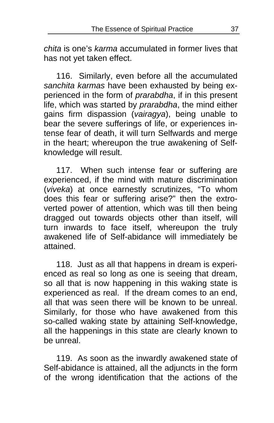*chita* is one's *karma* accumulated in former lives that has not yet taken effect.

116. Similarly, even before all the accumulated *sanchita karmas* have been exhausted by being experienced in the form of *prarabdha*, if in this present life, which was started by *prarabdha*, the mind either gains firm dispassion (*vairagya*), being unable to bear the severe sufferings of life, or experiences intense fear of death, it will turn Selfwards and merge in the heart; whereupon the true awakening of Selfknowledge will result.

117. When such intense fear or suffering are experienced, if the mind with mature discrimination (*viveka*) at once earnestly scrutinizes, "To whom does this fear or suffering arise?" then the extroverted power of attention, which was till then being dragged out towards objects other than itself, will turn inwards to face itself, whereupon the truly awakened life of Self-abidance will immediately be attained.

118. Just as all that happens in dream is experienced as real so long as one is seeing that dream, so all that is now happening in this waking state is experienced as real. If the dream comes to an end, all that was seen there will be known to be unreal. Similarly, for those who have awakened from this so-called waking state by attaining Self-knowledge, all the happenings in this state are clearly known to be unreal.

119. As soon as the inwardly awakened state of Self-abidance is attained, all the adjuncts in the form of the wrong identification that the actions of the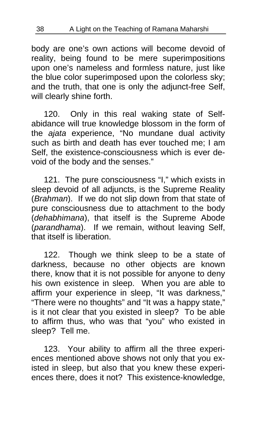body are one's own actions will become devoid of reality, being found to be mere superimpositions upon one's nameless and formless nature, just like the blue color superimposed upon the colorless sky; and the truth, that one is only the adjunct-free Self, will clearly shine forth.

120. Only in this real waking state of Selfabidance will true knowledge blossom in the form of the *ajata* experience, "No mundane dual activity such as birth and death has ever touched me; I am Self, the existence-consciousness which is ever devoid of the body and the senses."

121. The pure consciousness "I," which exists in sleep devoid of all adjuncts, is the Supreme Reality (*Brahman*). If we do not slip down from that state of pure consciousness due to attachment to the body (*dehabhimana*), that itself is the Supreme Abode (*parandhama*). If we remain, without leaving Self, that itself is liberation.

122. Though we think sleep to be a state of darkness, because no other objects are known there, know that it is not possible for anyone to deny his own existence in sleep. When you are able to affirm your experience in sleep, "It was darkness," "There were no thoughts" and "It was a happy state," is it not clear that you existed in sleep? To be able to affirm thus, who was that "you" who existed in sleep? Tell me.

123. Your ability to affirm all the three experiences mentioned above shows not only that you existed in sleep, but also that you knew these experiences there, does it not? This existence-knowledge,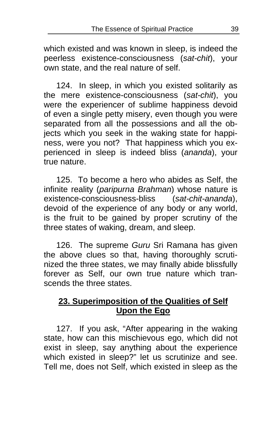which existed and was known in sleep, is indeed the peerless existence-consciousness (*sat-chit*), your own state, and the real nature of self.

124. In sleep, in which you existed solitarily as the mere existence-consciousness (*sat-chit*), you were the experiencer of sublime happiness devoid of even a single petty misery, even though you were separated from all the possessions and all the objects which you seek in the waking state for happiness, were you not? That happiness which you experienced in sleep is indeed bliss (*ananda*), your true nature.

125. To become a hero who abides as Self, the infinite reality (*paripurna Brahman*) whose nature is existence-consciousness-bliss (*sat-chit-ananda*), devoid of the experience of any body or any world, is the fruit to be gained by proper scrutiny of the three states of waking, dream, and sleep.

126. The supreme *Guru* Sri Ramana has given the above clues so that, having thoroughly scrutinized the three states, we may finally abide blissfully forever as Self, our own true nature which transcends the three states.

### **23. Superimposition of the Qualities of Self Upon the Ego**

127. If you ask, "After appearing in the waking state, how can this mischievous ego, which did not exist in sleep, say anything about the experience which existed in sleep?" let us scrutinize and see. Tell me, does not Self, which existed in sleep as the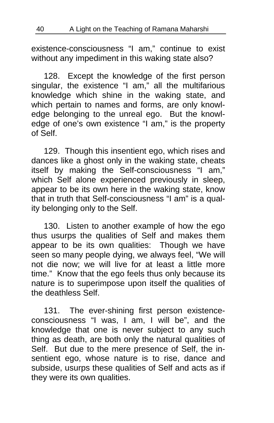existence-consciousness "I am," continue to exist without any impediment in this waking state also?

128. Except the knowledge of the first person singular, the existence "I am," all the multifarious knowledge which shine in the waking state, and which pertain to names and forms, are only knowledge belonging to the unreal ego. But the knowledge of one's own existence "I am," is the property of Self.

129. Though this insentient ego, which rises and dances like a ghost only in the waking state, cheats itself by making the Self-consciousness "I am," which Self alone experienced previously in sleep, appear to be its own here in the waking state, know that in truth that Self-consciousness "I am" is a quality belonging only to the Self.

130. Listen to another example of how the ego thus usurps the qualities of Self and makes them appear to be its own qualities: Though we have seen so many people dying, we always feel, "We will not die now; we will live for at least a little more time." Know that the ego feels thus only because its nature is to superimpose upon itself the qualities of the deathless Self.

131. The ever-shining first person existenceconsciousness "I was, I am, I will be", and the knowledge that one is never subject to any such thing as death, are both only the natural qualities of Self. But due to the mere presence of Self, the insentient ego, whose nature is to rise, dance and subside, usurps these qualities of Self and acts as if they were its own qualities.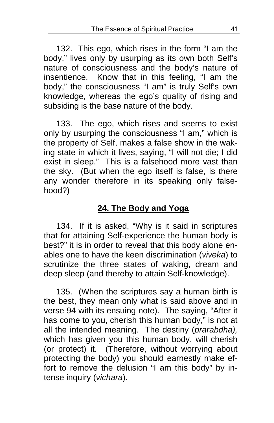132. This ego, which rises in the form "I am the body," lives only by usurping as its own both Self's nature of consciousness and the body's nature of insentience. Know that in this feeling, "I am the body," the consciousness "I am" is truly Self's own knowledge, whereas the ego's quality of rising and subsiding is the base nature of the body.

133. The ego, which rises and seems to exist only by usurping the consciousness "I am," which is the property of Self, makes a false show in the waking state in which it lives, saying, "I will not die; I did exist in sleep." This is a falsehood more vast than the sky. (But when the ego itself is false, is there any wonder therefore in its speaking only falsehood?)

# **24. The Body and Yoga**

134. If it is asked, "Why is it said in scriptures that for attaining Self-experience the human body is best?" it is in order to reveal that this body alone enables one to have the keen discrimination (*viveka*) to scrutinize the three states of waking, dream and deep sleep (and thereby to attain Self-knowledge).

135. (When the scriptures say a human birth is the best, they mean only what is said above and in verse 94 with its ensuing note). The saying, "After it has come to you, cherish this human body," is not at all the intended meaning. The destiny (*prarabdha),*  which has given you this human body, will cherish (or protect) it. (Therefore, without worrying about protecting the body) you should earnestly make effort to remove the delusion "I am this body" by intense inquiry (*vichara*).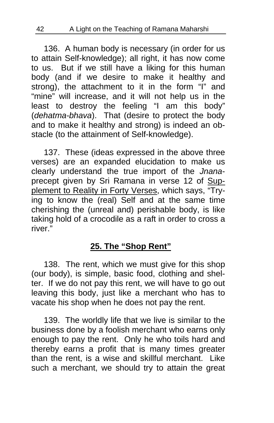136. A human body is necessary (in order for us to attain Self-knowledge); all right, it has now come to us. But if we still have a liking for this human body (and if we desire to make it healthy and strong), the attachment to it in the form "I" and "mine" will increase, and it will not help us in the least to destroy the feeling "I am this body" (*dehatma-bhava*). That (desire to protect the body and to make it healthy and strong) is indeed an obstacle (to the attainment of Self-knowledge).

137. These (ideas expressed in the above three verses) are an expanded elucidation to make us clearly understand the true import of the *Jnana*precept given by Sri Ramana in verse 12 of Supplement to Reality in Forty Verses, which says, "Trying to know the (real) Self and at the same time cherishing the (unreal and) perishable body, is like taking hold of a crocodile as a raft in order to cross a river."

# **25. The "Shop Rent"**

138. The rent, which we must give for this shop (our body), is simple, basic food, clothing and shelter. If we do not pay this rent, we will have to go out leaving this body, just like a merchant who has to vacate his shop when he does not pay the rent.

139. The worldly life that we live is similar to the business done by a foolish merchant who earns only enough to pay the rent. Only he who toils hard and thereby earns a profit that is many times greater than the rent, is a wise and skillful merchant. Like such a merchant, we should try to attain the great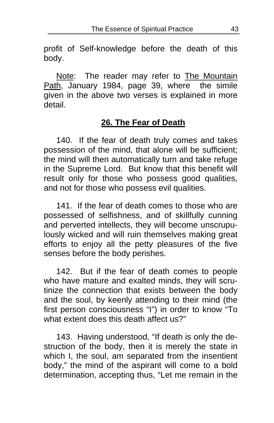profit of Self-knowledge before the death of this body.

Note: The reader may refer to The Mountain Path, January 1984, page 39, where the simile given in the above two verses is explained in more detail.

# **26. The Fear of Death**

140. If the fear of death truly comes and takes possession of the mind, that alone will be sufficient; the mind will then automatically turn and take refuge in the Supreme Lord. But know that this benefit will result only for those who possess good qualities, and not for those who possess evil qualities.

141. If the fear of death comes to those who are possessed of selfishness, and of skillfully cunning and perverted intellects, they will become unscrupulously wicked and will ruin themselves making great efforts to enjoy all the petty pleasures of the five senses before the body perishes.

142. But if the fear of death comes to people who have mature and exalted minds, they will scrutinize the connection that exists between the body and the soul, by keenly attending to their mind (the first person consciousness "I") in order to know "To what extent does this death affect us?"

143. Having understood, "If death is only the destruction of the body, then it is merely the state in which I, the soul, am separated from the insentient body," the mind of the aspirant will come to a bold determination, accepting thus, "Let me remain in the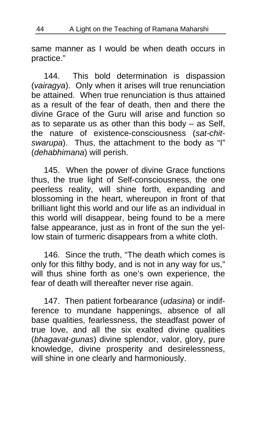same manner as I would be when death occurs in practice."

144. This bold determination is dispassion (*vairagya*). Only when it arises will true renunciation be attained. When true renunciation is thus attained as a result of the fear of death, then and there the divine Grace of the Guru will arise and function so as to separate us as other than this body – as Self, the nature of existence-consciousness (*sat-chitswarupa*). Thus, the attachment to the body as "I" (*dehabhimana*) will perish.

145. When the power of divine Grace functions thus, the true light of Self-consciousness, the one peerless reality, will shine forth, expanding and blossoming in the heart, whereupon in front of that brilliant light this world and our life as an individual in this world will disappear, being found to be a mere false appearance, just as in front of the sun the yellow stain of turmeric disappears from a white cloth.

146. Since the truth, "The death which comes is only for this filthy body, and is not in any way for us," will thus shine forth as one's own experience, the fear of death will thereafter never rise again.

147. Then patient forbearance (*udasina*) or indifference to mundane happenings, absence of all base qualities, fearlessness, the steadfast power of true love, and all the six exalted divine qualities (*bhagavat-gunas*) divine splendor, valor, glory, pure knowledge, divine prosperity and desirelessness, will shine in one clearly and harmoniously.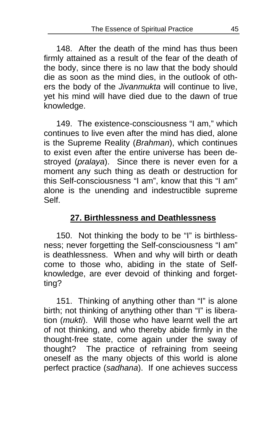148. After the death of the mind has thus been firmly attained as a result of the fear of the death of the body, since there is no law that the body should die as soon as the mind dies, in the outlook of others the body of the *Jivanmukta* will continue to live, yet his mind will have died due to the dawn of true knowledge.

149. The existence-consciousness "I am," which continues to live even after the mind has died, alone is the Supreme Reality (*Brahman*), which continues to exist even after the entire universe has been destroyed (*pralaya*). Since there is never even for a moment any such thing as death or destruction for this Self-consciousness "I am", know that this "I am" alone is the unending and indestructible supreme Self.

# **27. Birthlessness and Deathlessness**

150. Not thinking the body to be "I" is birthlessness; never forgetting the Self-consciousness "I am" is deathlessness. When and why will birth or death come to those who, abiding in the state of Selfknowledge, are ever devoid of thinking and forgetting?

151. Thinking of anything other than "I" is alone birth; not thinking of anything other than "I" is liberation (*mukti*). Will those who have learnt well the art of not thinking, and who thereby abide firmly in the thought-free state, come again under the sway of thought? The practice of refraining from seeing oneself as the many objects of this world is alone perfect practice (*sadhana*). If one achieves success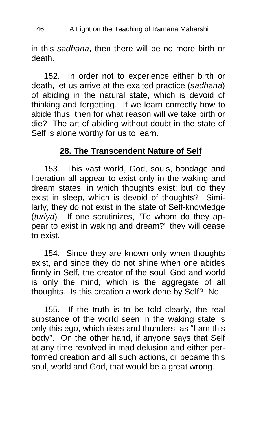in this *sadhana*, then there will be no more birth or death.

152. In order not to experience either birth or death, let us arrive at the exalted practice (*sadhana*) of abiding in the natural state, which is devoid of thinking and forgetting. If we learn correctly how to abide thus, then for what reason will we take birth or die? The art of abiding without doubt in the state of Self is alone worthy for us to learn.

#### **28. The Transcendent Nature of Self**

153. This vast world, God, souls, bondage and liberation all appear to exist only in the waking and dream states, in which thoughts exist; but do they exist in sleep, which is devoid of thoughts? Similarly, they do not exist in the state of Self-knowledge (*turiya*). If one scrutinizes, "To whom do they appear to exist in waking and dream?" they will cease to exist.

154. Since they are known only when thoughts exist, and since they do not shine when one abides firmly in Self, the creator of the soul, God and world is only the mind, which is the aggregate of all thoughts. Is this creation a work done by Self? No.

155. If the truth is to be told clearly, the real substance of the world seen in the waking state is only this ego, which rises and thunders, as "I am this body". On the other hand, if anyone says that Self at any time revolved in mad delusion and either performed creation and all such actions, or became this soul, world and God, that would be a great wrong.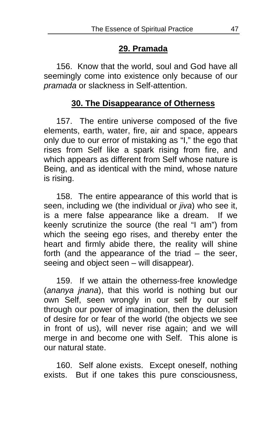### **29. Pramada**

156. Know that the world, soul and God have all seemingly come into existence only because of our *pramada* or slackness in Self-attention.

# **30. The Disappearance of Otherness**

157. The entire universe composed of the five elements, earth, water, fire, air and space, appears only due to our error of mistaking as "I," the ego that rises from Self like a spark rising from fire, and which appears as different from Self whose nature is Being, and as identical with the mind, whose nature is rising.

158. The entire appearance of this world that is seen, including we (the individual or *jiva*) who see it, is a mere false appearance like a dream. If we keenly scrutinize the source (the real "I am") from which the seeing ego rises, and thereby enter the heart and firmly abide there, the reality will shine forth (and the appearance of the triad – the seer, seeing and object seen – will disappear).

159. If we attain the otherness-free knowledge (*ananya jnana*), that this world is nothing but our own Self, seen wrongly in our self by our self through our power of imagination, then the delusion of desire for or fear of the world (the objects we see in front of us), will never rise again; and we will merge in and become one with Self. This alone is our natural state.

160. Self alone exists. Except oneself, nothing exists. But if one takes this pure consciousness,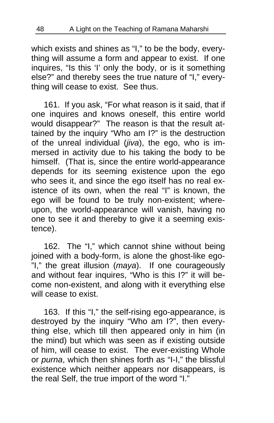which exists and shines as "I," to be the body, everything will assume a form and appear to exist. If one inquires, "Is this 'I' only the body, or is it something else?" and thereby sees the true nature of "I," everything will cease to exist. See thus.

161. If you ask, "For what reason is it said, that if one inquires and knows oneself, this entire world would disappear?" The reason is that the result attained by the inquiry "Who am I?" is the destruction of the unreal individual (*jiva*), the ego, who is immersed in activity due to his taking the body to be himself. (That is, since the entire world-appearance depends for its seeming existence upon the ego who sees it, and since the ego itself has no real existence of its own, when the real "I" is known, the ego will be found to be truly non-existent; whereupon, the world-appearance will vanish, having no one to see it and thereby to give it a seeming existence).

162. The "I," which cannot shine without being joined with a body-form, is alone the ghost-like ego- "I," the great illusion (*maya*). If one courageously and without fear inquires, "Who is this I?" it will become non-existent, and along with it everything else will cease to exist.

163. If this "I," the self-rising ego-appearance, is destroyed by the inquiry "Who am I?", then everything else, which till then appeared only in him (in the mind) but which was seen as if existing outside of him, will cease to exist. The ever-existing Whole or *purna*, which then shines forth as "I-I," the blissful existence which neither appears nor disappears, is the real Self, the true import of the word "I."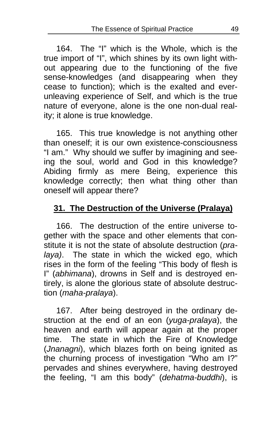164. The "I" which is the Whole, which is the true import of "I", which shines by its own light without appearing due to the functioning of the five sense-knowledges (and disappearing when they cease to function); which is the exalted and everunleaving experience of Self, and which is the true nature of everyone, alone is the one non-dual reality; it alone is true knowledge.

165. This true knowledge is not anything other than oneself; it is our own existence-consciousness "I am." Why should we suffer by imagining and seeing the soul, world and God in this knowledge? Abiding firmly as mere Being, experience this knowledge correctly; then what thing other than oneself will appear there?

### **31. The Destruction of the Universe (Pralaya)**

166. The destruction of the entire universe together with the space and other elements that constitute it is not the state of absolute destruction (*pralaya)*. The state in which the wicked ego, which rises in the form of the feeling "This body of flesh is I" (*abhimana*), drowns in Self and is destroyed entirely, is alone the glorious state of absolute destruction (*maha-pralaya*).

167. After being destroyed in the ordinary destruction at the end of an eon (*yuga-pralaya*), the heaven and earth will appear again at the proper time. The state in which the Fire of Knowledge (*Jnanagni*), which blazes forth on being ignited as the churning process of investigation "Who am I?" pervades and shines everywhere, having destroyed the feeling, "I am this body" (*dehatma-buddhi*), is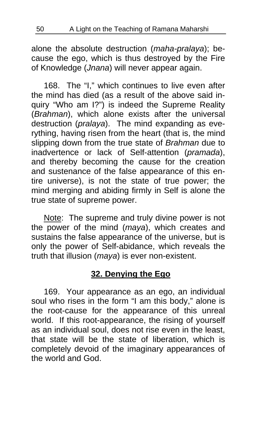alone the absolute destruction (*maha-pralaya*); because the ego, which is thus destroyed by the Fire of Knowledge (*Jnana*) will never appear again.

168. The "I," which continues to live even after the mind has died (as a result of the above said inquiry "Who am I?") is indeed the Supreme Reality (*Brahman*), which alone exists after the universal destruction (*pralaya*). The mind expanding as everything, having risen from the heart (that is, the mind slipping down from the true state of *Brahman* due to inadvertence or lack of Self-attention (*pramada*), and thereby becoming the cause for the creation and sustenance of the false appearance of this entire universe), is not the state of true power; the mind merging and abiding firmly in Self is alone the true state of supreme power.

Note: The supreme and truly divine power is not the power of the mind (*maya*), which creates and sustains the false appearance of the universe, but is only the power of Self-abidance, which reveals the truth that illusion (*maya*) is ever non-existent.

# **32. Denying the Ego**

169. Your appearance as an ego, an individual soul who rises in the form "I am this body," alone is the root-cause for the appearance of this unreal world. If this root-appearance, the rising of yourself as an individual soul, does not rise even in the least, that state will be the state of liberation, which is completely devoid of the imaginary appearances of the world and God.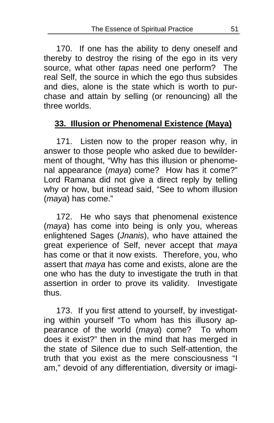170. If one has the ability to deny oneself and thereby to destroy the rising of the ego in its very source, what other *tapas* need one perform? The real Self, the source in which the ego thus subsides and dies, alone is the state which is worth to purchase and attain by selling (or renouncing) all the three worlds.

# **33. Illusion or Phenomenal Existence (Maya)**

171. Listen now to the proper reason why, in answer to those people who asked due to bewilderment of thought, "Why has this illusion or phenomenal appearance (*maya*) come? How has it come?" Lord Ramana did not give a direct reply by telling why or how, but instead said, "See to whom illusion (*maya*) has come."

172. He who says that phenomenal existence (*maya*) has come into being is only you, whereas enlightened Sages (*Jnanis*), who have attained the great experience of Self, never accept that *maya* has come or that it now exists. Therefore, you, who assert that *maya* has come and exists, alone are the one who has the duty to investigate the truth in that assertion in order to prove its validity. Investigate thus.

173. If you first attend to yourself, by investigating within yourself "To whom has this illusory appearance of the world (*maya*) come? To whom does it exist?" then in the mind that has merged in the state of Silence due to such Self-attention, the truth that you exist as the mere consciousness "I am," devoid of any differentiation, diversity or imagi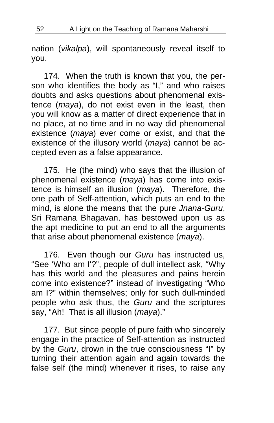nation (*vikalpa*), will spontaneously reveal itself to you.

174. When the truth is known that you, the person who identifies the body as "I," and who raises doubts and asks questions about phenomenal existence (*maya*), do not exist even in the least, then you will know as a matter of direct experience that in no place, at no time and in no way did phenomenal existence (*maya*) ever come or exist, and that the existence of the illusory world (*maya*) cannot be accepted even as a false appearance.

175. He (the mind) who says that the illusion of phenomenal existence (*maya*) has come into existence is himself an illusion (*maya*). Therefore, the one path of Self-attention, which puts an end to the mind, is alone the means that the pure *Jnana-Guru*, Sri Ramana Bhagavan, has bestowed upon us as the apt medicine to put an end to all the arguments that arise about phenomenal existence (*maya*).

176. Even though our *Guru* has instructed us, "See 'Who am I'?", people of dull intellect ask, "Why has this world and the pleasures and pains herein come into existence?" instead of investigating "Who am I?" within themselves; only for such dull-minded people who ask thus, the *Guru* and the scriptures say, "Ah! That is all illusion (*maya*)."

177. But since people of pure faith who sincerely engage in the practice of Self-attention as instructed by the *Guru*, drown in the true consciousness "I" by turning their attention again and again towards the false self (the mind) whenever it rises, to raise any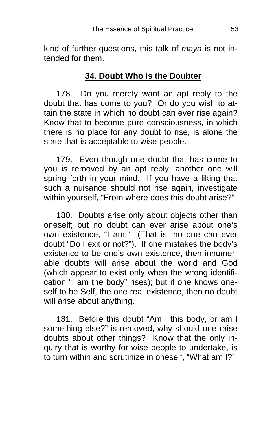kind of further questions, this talk of *maya* is not intended for them.

### **34. Doubt Who is the Doubter**

178. Do you merely want an apt reply to the doubt that has come to you? Or do you wish to attain the state in which no doubt can ever rise again? Know that to become pure consciousness, in which there is no place for any doubt to rise, is alone the state that is acceptable to wise people.

179. Even though one doubt that has come to you is removed by an apt reply, another one will spring forth in your mind. If you have a liking that such a nuisance should not rise again, investigate within yourself, "From where does this doubt arise?"

180. Doubts arise only about objects other than oneself; but no doubt can ever arise about one's own existence, "I am," (That is, no one can ever doubt "Do I exit or not?"). If one mistakes the body's existence to be one's own existence, then innumerable doubts will arise about the world and God (which appear to exist only when the wrong identification "I am the body" rises); but if one knows oneself to be Self, the one real existence, then no doubt will arise about anything.

181. Before this doubt "Am I this body, or am I something else?" is removed, why should one raise doubts about other things? Know that the only inquiry that is worthy for wise people to undertake, is to turn within and scrutinize in oneself, "What am I?"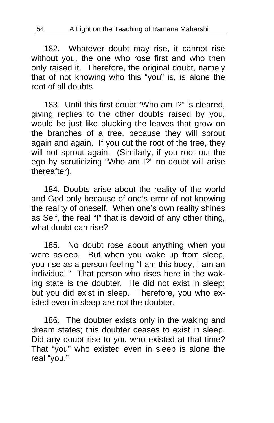182. Whatever doubt may rise, it cannot rise without you, the one who rose first and who then only raised it. Therefore, the original doubt, namely that of not knowing who this "you" is, is alone the root of all doubts.

183. Until this first doubt "Who am I?" is cleared, giving replies to the other doubts raised by you, would be just like plucking the leaves that grow on the branches of a tree, because they will sprout again and again. If you cut the root of the tree, they will not sprout again. (Similarly, if you root out the ego by scrutinizing "Who am I?" no doubt will arise thereafter).

184. Doubts arise about the reality of the world and God only because of one's error of not knowing the reality of oneself. When one's own reality shines as Self, the real "I" that is devoid of any other thing, what doubt can rise?

185. No doubt rose about anything when you were asleep. But when you wake up from sleep, you rise as a person feeling "I am this body, I am an individual." That person who rises here in the waking state is the doubter. He did not exist in sleep; but you did exist in sleep. Therefore, you who existed even in sleep are not the doubter.

186. The doubter exists only in the waking and dream states; this doubter ceases to exist in sleep. Did any doubt rise to you who existed at that time? That "you" who existed even in sleep is alone the real "you."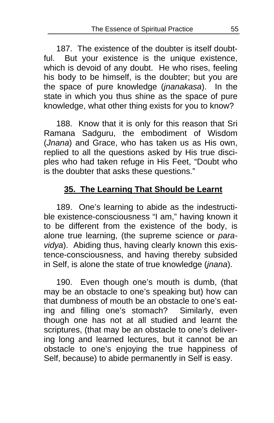187. The existence of the doubter is itself doubtful. But your existence is the unique existence, which is devoid of any doubt. He who rises, feeling his body to be himself, is the doubter; but you are the space of pure knowledge (*jnanakasa*). In the state in which you thus shine as the space of pure knowledge, what other thing exists for you to know?

188. Know that it is only for this reason that Sri Ramana Sadguru, the embodiment of Wisdom (*Jnana*) and Grace, who has taken us as His own, replied to all the questions asked by His true disciples who had taken refuge in His Feet, "Doubt who is the doubter that asks these questions."

# **35. The Learning That Should be Learnt**

189. One's learning to abide as the indestructible existence-consciousness "I am," having known it to be different from the existence of the body, is alone true learning, (the supreme science or *paravidya*). Abiding thus, having clearly known this existence-consciousness, and having thereby subsided in Self, is alone the state of true knowledge (*jnana*).

190. Even though one's mouth is dumb, (that may be an obstacle to one's speaking but) how can that dumbness of mouth be an obstacle to one's eating and filling one's stomach? Similarly, even though one has not at all studied and learnt the scriptures, (that may be an obstacle to one's delivering long and learned lectures, but it cannot be an obstacle to one's enjoying the true happiness of Self, because) to abide permanently in Self is easy.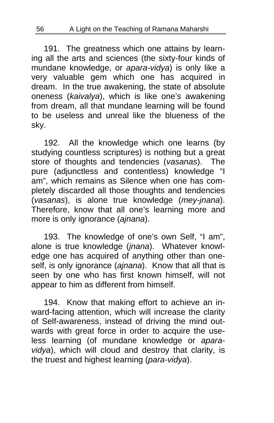56 A Light on the Teaching of Ramana Maharshi

191. The greatness which one attains by learning all the arts and sciences (the sixty-four kinds of mundane knowledge, or *apara-vidya*) is only like a very valuable gem which one has acquired in dream. In the true awakening, the state of absolute oneness (*kaivalya*), which is like one's awakening from dream, all that mundane learning will be found to be useless and unreal like the blueness of the sky.

192. All the knowledge which one learns (by studying countless scriptures) is nothing but a great store of thoughts and tendencies (*vasanas*). The pure (adjunctless and contentless) knowledge "I am", which remains as Silence when one has completely discarded all those thoughts and tendencies (*vasanas*), is alone true knowledge (*mey-jnana*). Therefore, know that all one's learning more and more is only ignorance (*ajnana*).

193. The knowledge of one's own Self, "I am", alone is true knowledge (*jnana*). Whatever knowledge one has acquired of anything other than oneself, is only ignorance (*ajnana*). Know that all that is seen by one who has first known himself, will not appear to him as different from himself.

194. Know that making effort to achieve an inward-facing attention, which will increase the clarity of Self-awareness, instead of driving the mind outwards with great force in order to acquire the useless learning (of mundane knowledge or *aparavidya*), which will cloud and destroy that clarity, is the truest and highest learning (*para-vidya*).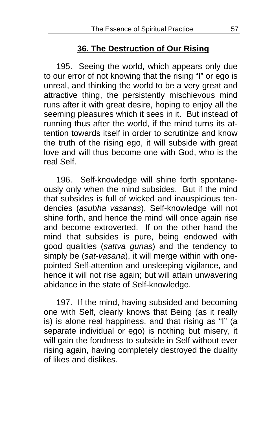### **36. The Destruction of Our Rising**

195. Seeing the world, which appears only due to our error of not knowing that the rising "I" or ego is unreal, and thinking the world to be a very great and attractive thing, the persistently mischievous mind runs after it with great desire, hoping to enjoy all the seeming pleasures which it sees in it. But instead of running thus after the world, if the mind turns its attention towards itself in order to scrutinize and know the truth of the rising ego, it will subside with great love and will thus become one with God, who is the real Self.

196. Self-knowledge will shine forth spontaneously only when the mind subsides. But if the mind that subsides is full of wicked and inauspicious tendencies (*asubha vasanas*), Self-knowledge will not shine forth, and hence the mind will once again rise and become extroverted. If on the other hand the mind that subsides is pure, being endowed with good qualities (*sattva gunas*) and the tendency to simply be (*sat-vasana*), it will merge within with onepointed Self-attention and unsleeping vigilance, and hence it will not rise again; but will attain unwavering abidance in the state of Self-knowledge.

197. If the mind, having subsided and becoming one with Self, clearly knows that Being (as it really is) is alone real happiness, and that rising as "I" (a separate individual or ego) is nothing but misery, it will gain the fondness to subside in Self without ever rising again, having completely destroyed the duality of likes and dislikes.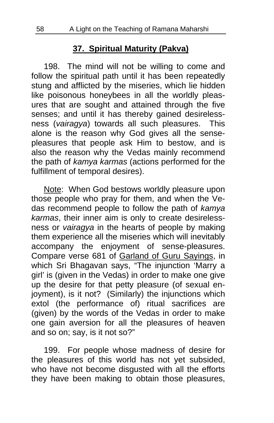# **37. Spiritual Maturity (Pakva)**

198. The mind will not be willing to come and follow the spiritual path until it has been repeatedly stung and afflicted by the miseries, which lie hidden like poisonous honeybees in all the worldly pleasures that are sought and attained through the five senses; and until it has thereby gained desirelessness (*vairagya*) towards all such pleasures. This alone is the reason why God gives all the sensepleasures that people ask Him to bestow, and is also the reason why the Vedas mainly recommend the path of *kamya karmas* (actions performed for the fulfillment of temporal desires).

Note: When God bestows worldly pleasure upon those people who pray for them, and when the Vedas recommend people to follow the path of *kamya karmas*, their inner aim is only to create desirelessness or *vairagya* in the hearts of people by making them experience all the miseries which will inevitably accompany the enjoyment of sense-pleasures. Compare verse 681 of Garland of Guru Sayings, in which Sri Bhagavan says, "The injunction 'Marry a girl' is (given in the Vedas) in order to make one give up the desire for that petty pleasure (of sexual enjoyment), is it not? (Similarly) the injunctions which extol (the performance of) ritual sacrifices are (given) by the words of the Vedas in order to make one gain aversion for all the pleasures of heaven and so on; say, is it not so?"

199. For people whose madness of desire for the pleasures of this world has not yet subsided, who have not become disgusted with all the efforts they have been making to obtain those pleasures,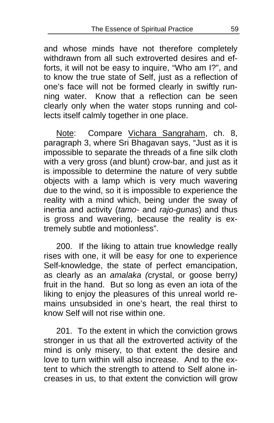and whose minds have not therefore completely withdrawn from all such extroverted desires and efforts, it will not be easy to inquire, "Who am I?", and to know the true state of Self, just as a reflection of one's face will not be formed clearly in swiftly running water. Know that a reflection can be seen clearly only when the water stops running and collects itself calmly together in one place.

Note: Compare Vichara Sangraham, ch. 8, paragraph 3, where Sri Bhagavan says, "Just as it is impossible to separate the threads of a fine silk cloth with a very gross (and blunt) crow-bar, and just as it is impossible to determine the nature of very subtle objects with a lamp which is very much wavering due to the wind, so it is impossible to experience the reality with a mind which, being under the sway of inertia and activity (*tamo-* and *rajo-gunas*) and thus is gross and wavering, because the reality is extremely subtle and motionless".

200. If the liking to attain true knowledge really rises with one, it will be easy for one to experience Self-knowledge, the state of perfect emancipation, as clearly as an *amalaka (*crystal, or goose berry*)*  fruit in the hand. But so long as even an iota of the liking to enjoy the pleasures of this unreal world remains unsubsided in one's heart, the real thirst to know Self will not rise within one.

201. To the extent in which the conviction grows stronger in us that all the extroverted activity of the mind is only misery, to that extent the desire and love to turn within will also increase. And to the extent to which the strength to attend to Self alone increases in us, to that extent the conviction will grow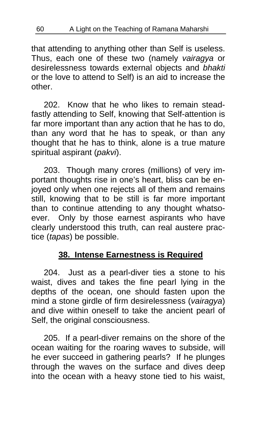that attending to anything other than Self is useless. Thus, each one of these two (namely *vairagya* or desirelessness towards external objects and *bhakti* or the love to attend to Self) is an aid to increase the other.

202. Know that he who likes to remain steadfastly attending to Self, knowing that Self-attention is far more important than any action that he has to do, than any word that he has to speak, or than any thought that he has to think, alone is a true mature spiritual aspirant (*pakvi*).

203. Though many crores (millions) of very important thoughts rise in one's heart, bliss can be enjoyed only when one rejects all of them and remains still, knowing that to be still is far more important than to continue attending to any thought whatsoever. Only by those earnest aspirants who have clearly understood this truth, can real austere practice (*tapas*) be possible.

#### **38. Intense Earnestness is Required**

204. Just as a pearl-diver ties a stone to his waist, dives and takes the fine pearl lying in the depths of the ocean, one should fasten upon the mind a stone girdle of firm desirelessness (*vairagya*) and dive within oneself to take the ancient pearl of Self, the original consciousness.

205. If a pearl-diver remains on the shore of the ocean waiting for the roaring waves to subside, will he ever succeed in gathering pearls? If he plunges through the waves on the surface and dives deep into the ocean with a heavy stone tied to his waist,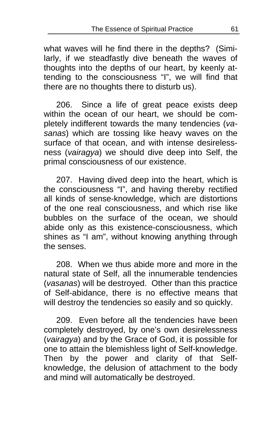what waves will he find there in the depths? (Similarly, if we steadfastly dive beneath the waves of thoughts into the depths of our heart, by keenly attending to the consciousness "I", we will find that there are no thoughts there to disturb us).

206. Since a life of great peace exists deep within the ocean of our heart, we should be completely indifferent towards the many tendencies (*vasanas*) which are tossing like heavy waves on the surface of that ocean, and with intense desirelessness (*vairagya*) we should dive deep into Self, the primal consciousness of our existence.

207. Having dived deep into the heart, which is the consciousness "I", and having thereby rectified all kinds of sense-knowledge, which are distortions of the one real consciousness, and which rise like bubbles on the surface of the ocean, we should abide only as this existence-consciousness, which shines as "I am", without knowing anything through the senses.

208. When we thus abide more and more in the natural state of Self, all the innumerable tendencies (*vasanas*) will be destroyed. Other than this practice of Self-abidance, there is no effective means that will destroy the tendencies so easily and so quickly.

209. Even before all the tendencies have been completely destroyed, by one's own desirelessness (*vairagya*) and by the Grace of God, it is possible for one to attain the blemishless light of Self-knowledge. Then by the power and clarity of that Selfknowledge, the delusion of attachment to the body and mind will automatically be destroyed.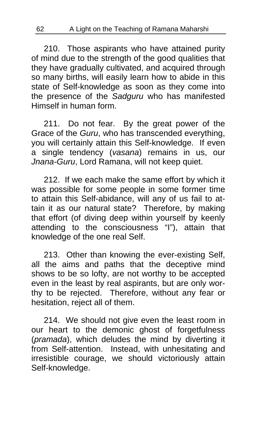210. Those aspirants who have attained purity of mind due to the strength of the good qualities that they have gradually cultivated, and acquired through so many births, will easily learn how to abide in this state of Self-knowledge as soon as they come into the presence of the *Sadguru* who has manifested Himself in human form.

211. Do not fear. By the great power of the Grace of the *Guru*, who has transcended everything, you will certainly attain this Self-knowledge. If even a single tendency (*vasana*) remains in us, our *Jnana-Guru*, Lord Ramana, will not keep quiet.

212. If we each make the same effort by which it was possible for some people in some former time to attain this Self-abidance, will any of us fail to attain it as our natural state? Therefore, by making that effort (of diving deep within yourself by keenly attending to the consciousness "I"), attain that knowledge of the one real Self.

213. Other than knowing the ever-existing Self, all the aims and paths that the deceptive mind shows to be so lofty, are not worthy to be accepted even in the least by real aspirants, but are only worthy to be rejected. Therefore, without any fear or hesitation, reject all of them.

214. We should not give even the least room in our heart to the demonic ghost of forgetfulness (*pramada*), which deludes the mind by diverting it from Self-attention. Instead, with unhesitating and irresistible courage, we should victoriously attain Self-knowledge.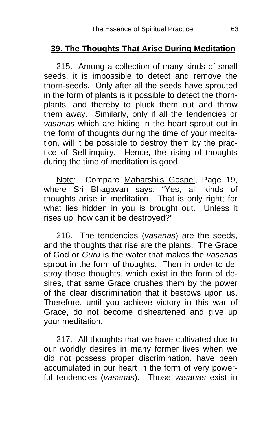### **39. The Thoughts That Arise During Meditation**

215. Among a collection of many kinds of small seeds, it is impossible to detect and remove the thorn-seeds. Only after all the seeds have sprouted in the form of plants is it possible to detect the thornplants, and thereby to pluck them out and throw them away. Similarly, only if all the tendencies or *vasanas* which are hiding in the heart sprout out in the form of thoughts during the time of your meditation, will it be possible to destroy them by the practice of Self-inquiry. Hence, the rising of thoughts during the time of meditation is good.

Note: Compare Maharshi's Gospel, Page 19, where Sri Bhagavan says, "Yes, all kinds of thoughts arise in meditation. That is only right; for what lies hidden in you is brought out. Unless it rises up, how can it be destroyed?"

216. The tendencies (*vasanas*) are the seeds, and the thoughts that rise are the plants. The Grace of God or *Guru* is the water that makes the *vasanas* sprout in the form of thoughts. Then in order to destroy those thoughts, which exist in the form of desires, that same Grace crushes them by the power of the clear discrimination that it bestows upon us. Therefore, until you achieve victory in this war of Grace, do not become disheartened and give up your meditation.

217. All thoughts that we have cultivated due to our worldly desires in many former lives when we did not possess proper discrimination, have been accumulated in our heart in the form of very powerful tendencies (*vasanas*). Those *vasanas* exist in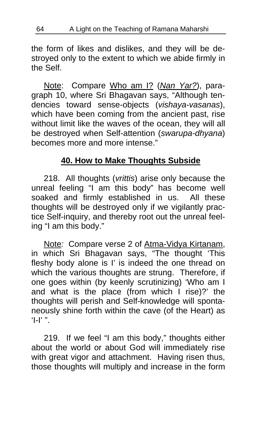the form of likes and dislikes, and they will be destroyed only to the extent to which we abide firmly in the Self.

Note: Compare Who am I? (*Nan Yar?*), paragraph 10, where Sri Bhagavan says, "Although tendencies toward sense-objects (*vishaya-vasanas*), which have been coming from the ancient past, rise without limit like the waves of the ocean, they will all be destroyed when Self-attention (*swarupa-dhyana*) becomes more and more intense."

## **40. How to Make Thoughts Subside**

218. All thoughts (*vrittis*) arise only because the unreal feeling "I am this body" has become well soaked and firmly established in us. All these thoughts will be destroyed only if we vigilantly practice Self-inquiry, and thereby root out the unreal feeling "I am this body."

Note*:* Compare verse 2 of Atma-Vidya Kirtanam, in which Sri Bhagavan says, "The thought 'This fleshy body alone is I' is indeed the one thread on which the various thoughts are strung. Therefore, if one goes within (by keenly scrutinizing) 'Who am I and what is the place (from which  $I$  rise)?' the thoughts will perish and Self-knowledge will spontaneously shine forth within the cave (of the Heart) as ' $I-I'$ ".

219. If we feel "I am this body," thoughts either about the world or about God will immediately rise with great vigor and attachment. Having risen thus, those thoughts will multiply and increase in the form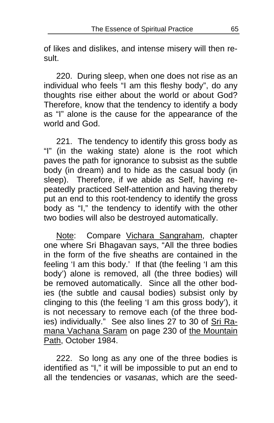of likes and dislikes, and intense misery will then result.

220. During sleep, when one does not rise as an individual who feels "I am this fleshy body", do any thoughts rise either about the world or about God? Therefore, know that the tendency to identify a body as "I" alone is the cause for the appearance of the world and God.

221. The tendency to identify this gross body as "I" (in the waking state) alone is the root which paves the path for ignorance to subsist as the subtle body (in dream) and to hide as the casual body (in sleep). Therefore, if we abide as Self, having repeatedly practiced Self-attention and having thereby put an end to this root-tendency to identify the gross body as "I," the tendency to identify with the other two bodies will also be destroyed automatically.

Note: Compare Vichara Sangraham, chapter one where Sri Bhagavan says, "All the three bodies in the form of the five sheaths are contained in the feeling 'I am this body.' If that (the feeling 'I am this body') alone is removed, all (the three bodies) will be removed automatically. Since all the other bodies (the subtle and causal bodies) subsist only by clinging to this (the feeling 'I am this gross body'), it is not necessary to remove each (of the three bodies) individually." See also lines 27 to 30 of Sri Ramana Vachana Saram on page 230 of the Mountain Path, October 1984.

222. So long as any one of the three bodies is identified as "I," it will be impossible to put an end to all the tendencies or *vasanas*, which are the seed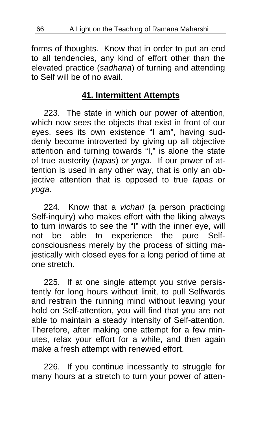forms of thoughts. Know that in order to put an end to all tendencies, any kind of effort other than the elevated practice (*sadhana*) of turning and attending to Self will be of no avail.

## **41. Intermittent Attempts**

223. The state in which our power of attention, which now sees the objects that exist in front of our eyes, sees its own existence "I am", having suddenly become introverted by giving up all objective attention and turning towards "I," is alone the state of true austerity (*tapas*) or *yoga*. If our power of attention is used in any other way, that is only an objective attention that is opposed to true *tapas* or *yoga*.

224. Know that a *vichari* (a person practicing Self-inquiry) who makes effort with the liking always to turn inwards to see the "I" with the inner eye, will not be able to experience the pure Selfconsciousness merely by the process of sitting maiestically with closed eyes for a long period of time at one stretch.

225. If at one single attempt you strive persistently for long hours without limit, to pull Selfwards and restrain the running mind without leaving your hold on Self-attention, you will find that you are not able to maintain a steady intensity of Self-attention. Therefore, after making one attempt for a few minutes, relax your effort for a while, and then again make a fresh attempt with renewed effort.

226. If you continue incessantly to struggle for many hours at a stretch to turn your power of atten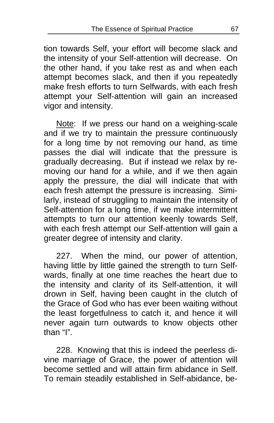tion towards Self, your effort will become slack and the intensity of your Self-attention will decrease. On the other hand, if you take rest as and when each attempt becomes slack, and then if you repeatedly make fresh efforts to turn Selfwards, with each fresh attempt your Self-attention will gain an increased vigor and intensity.

Note: If we press our hand on a weighing-scale and if we try to maintain the pressure continuously for a long time by not removing our hand, as time passes the dial will indicate that the pressure is gradually decreasing. But if instead we relax by removing our hand for a while, and if we then again apply the pressure, the dial will indicate that with each fresh attempt the pressure is increasing. Similarly, instead of struggling to maintain the intensity of Self-attention for a long time, if we make intermittent attempts to turn our attention keenly towards Self, with each fresh attempt our Self-attention will gain a greater degree of intensity and clarity.

227. When the mind, our power of attention, having little by little gained the strength to turn Selfwards, finally at one time reaches the heart due to the intensity and clarity of its Self-attention, it will drown in Self, having been caught in the clutch of the Grace of God who has ever been waiting without the least forgetfulness to catch it, and hence it will never again turn outwards to know objects other than "I".

228. Knowing that this is indeed the peerless divine marriage of Grace, the power of attention will become settled and will attain firm abidance in Self. To remain steadily established in Self-abidance, be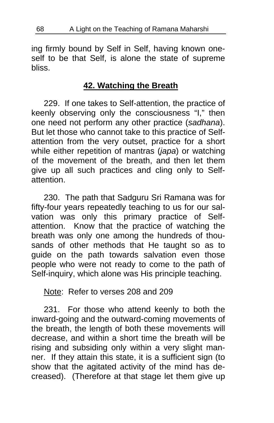ing firmly bound by Self in Self, having known oneself to be that Self, is alone the state of supreme bliss.

## **42. Watching the Breath**

229. If one takes to Self-attention, the practice of keenly observing only the consciousness "I," then one need not perform any other practice (*sadhana*). But let those who cannot take to this practice of Selfattention from the very outset, practice for a short while either repetition of mantras (*japa*) or watching of the movement of the breath, and then let them give up all such practices and cling only to Selfattention.

230. The path that Sadguru Sri Ramana was for fifty-four years repeatedly teaching to us for our salvation was only this primary practice of Selfattention. Know that the practice of watching the breath was only one among the hundreds of thousands of other methods that He taught so as to guide on the path towards salvation even those people who were not ready to come to the path of Self-inquiry, which alone was His principle teaching.

Note: Refer to verses 208 and 209

231. For those who attend keenly to both the inward-going and the outward-coming movements of the breath, the length of both these movements will decrease, and within a short time the breath will be rising and subsiding only within a very slight manner. If they attain this state, it is a sufficient sign (to show that the agitated activity of the mind has decreased). (Therefore at that stage let them give up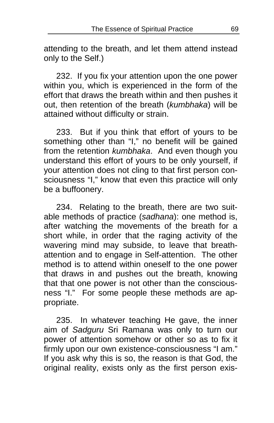attending to the breath, and let them attend instead only to the Self.)

232. If you fix your attention upon the one power within you, which is experienced in the form of the effort that draws the breath within and then pushes it out, then retention of the breath (*kumbhaka*) will be attained without difficulty or strain.

233. But if you think that effort of yours to be something other than "I," no benefit will be gained from the retention *kumbhaka*. And even though you understand this effort of yours to be only yourself, if your attention does not cling to that first person consciousness "I," know that even this practice will only be a buffoonery.

234. Relating to the breath, there are two suitable methods of practice (*sadhana*): one method is, after watching the movements of the breath for a short while, in order that the raging activity of the wavering mind may subside, to leave that breathattention and to engage in Self-attention. The other method is to attend within oneself to the one power that draws in and pushes out the breath, knowing that that one power is not other than the consciousness "I." For some people these methods are appropriate.

235. In whatever teaching He gave, the inner aim of *Sadguru* Sri Ramana was only to turn our power of attention somehow or other so as to fix it firmly upon our own existence-consciousness "I am." If you ask why this is so, the reason is that God, the original reality, exists only as the first person exis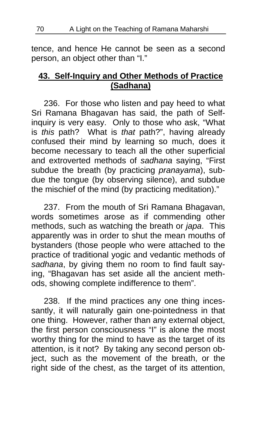tence, and hence He cannot be seen as a second person, an object other than "I."

### **43. Self-Inquiry and Other Methods of Practice (Sadhana)**

236. For those who listen and pay heed to what Sri Ramana Bhagavan has said, the path of Selfinquiry is very easy. Only to those who ask, "What is *this* path? What is *that* path?", having already confused their mind by learning so much, does it become necessary to teach all the other superficial and extroverted methods of *sadhana* saying, "First subdue the breath (by practicing *pranayama*), subdue the tongue (by observing silence), and subdue the mischief of the mind (by practicing meditation)."

237. From the mouth of Sri Ramana Bhagavan, words sometimes arose as if commending other methods, such as watching the breath or *japa*. This apparently was in order to shut the mean mouths of bystanders (those people who were attached to the practice of traditional yogic and vedantic methods of *sadhana*, by giving them no room to find fault saying, "Bhagavan has set aside all the ancient methods, showing complete indifference to them".

238. If the mind practices any one thing incessantly, it will naturally gain one-pointedness in that one thing. However, rather than any external object, the first person consciousness "I" is alone the most worthy thing for the mind to have as the target of its attention, is it not? By taking any second person object, such as the movement of the breath, or the right side of the chest, as the target of its attention,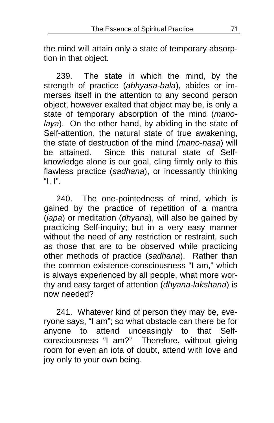the mind will attain only a state of temporary absorption in that object.

239. The state in which the mind, by the strength of practice (*abhyasa-bala*), abides or immerses itself in the attention to any second person object, however exalted that object may be, is only a state of temporary absorption of the mind (*manolaya*). On the other hand, by abiding in the state of Self-attention, the natural state of true awakening, the state of destruction of the mind (*mano-nasa*) will be attained. Since this natural state of Selfknowledge alone is our goal, cling firmly only to this flawless practice (*sadhana*), or incessantly thinking "I, I".

240. The one-pointedness of mind, which is gained by the practice of repetition of a mantra (*japa*) or meditation (*dhyana*), will also be gained by practicing Self-inquiry; but in a very easy manner without the need of any restriction or restraint, such as those that are to be observed while practicing other methods of practice (*sadhana*). Rather than the common existence-consciousness "I am," which is always experienced by all people, what more worthy and easy target of attention (*dhyana-lakshana*) is now needed?

241. Whatever kind of person they may be, everyone says, "I am"; so what obstacle can there be for anyone to attend unceasingly to that Selfconsciousness "I am?" Therefore, without giving room for even an iota of doubt, attend with love and joy only to your own being.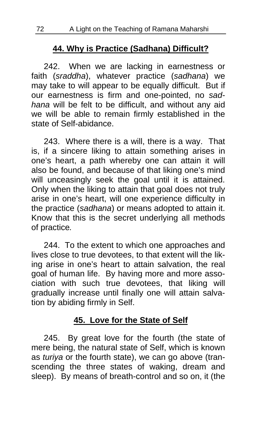## **44. Why is Practice (Sadhana) Difficult?**

242. When we are lacking in earnestness or faith (*sraddha*), whatever practice (*sadhana*) we may take to will appear to be equally difficult. But if our earnestness is firm and one-pointed, no *sadhana* will be felt to be difficult, and without any aid we will be able to remain firmly established in the state of Self-abidance.

243. Where there is a will, there is a way. That is, if a sincere liking to attain something arises in one's heart, a path whereby one can attain it will also be found, and because of that liking one's mind will unceasingly seek the goal until it is attained. Only when the liking to attain that goal does not truly arise in one's heart, will one experience difficulty in the practice (*sadhana*) or means adopted to attain it. Know that this is the secret underlying all methods of practice*.*

244. To the extent to which one approaches and lives close to true devotees, to that extent will the liking arise in one's heart to attain salvation, the real goal of human life. By having more and more association with such true devotees, that liking will gradually increase until finally one will attain salvation by abiding firmly in Self.

# **45. Love for the State of Self**

245. By great love for the fourth (the state of mere being, the natural state of Self, which is known as *turiya* or the fourth state), we can go above (transcending the three states of waking, dream and sleep). By means of breath-control and so on, it (the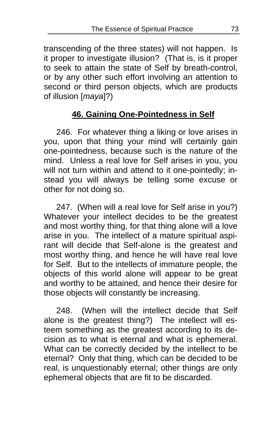transcending of the three states) will not happen. Is it proper to investigate illusion? (That is, is it proper to seek to attain the state of Self by breath-control, or by any other such effort involving an attention to second or third person objects, which are products of illusion [*maya*]?)

## **46. Gaining One-Pointedness in Self**

246. For whatever thing a liking or love arises in you, upon that thing your mind will certainly gain one-pointedness, because such is the nature of the mind. Unless a real love for Self arises in you, you will not turn within and attend to it one-pointedly; instead you will always be telling some excuse or other for not doing so.

247. (When will a real love for Self arise in you?) Whatever your intellect decides to be the greatest and most worthy thing, for that thing alone will a love arise in you. The intellect of a mature spiritual aspirant will decide that Self-alone is the greatest and most worthy thing, and hence he will have real love for Self. But to the intellects of immature people, the objects of this world alone will appear to be great and worthy to be attained, and hence their desire for those objects will constantly be increasing.

248. (When will the intellect decide that Self alone is the greatest thing?) The intellect will esteem something as the greatest according to its decision as to what is eternal and what is ephemeral. What can be correctly decided by the intellect to be eternal? Only that thing, which can be decided to be real, is unquestionably eternal; other things are only ephemeral objects that are fit to be discarded.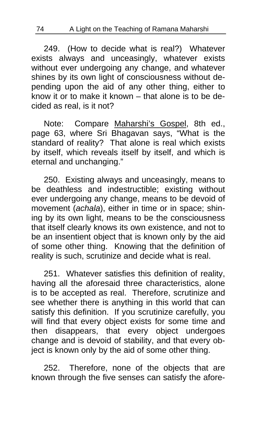249. (How to decide what is real?) Whatever exists always and unceasingly, whatever exists without ever undergoing any change, and whatever shines by its own light of consciousness without depending upon the aid of any other thing, either to know it or to make it known – that alone is to be decided as real, is it not?

Note: Compare Maharshi's Gospel, 8th ed., page 63, where Sri Bhagavan says, "What is the standard of reality? That alone is real which exists by itself, which reveals itself by itself, and which is eternal and unchanging."

250. Existing always and unceasingly, means to be deathless and indestructible; existing without ever undergoing any change, means to be devoid of movement (*achala*), either in time or in space; shining by its own light, means to be the consciousness that itself clearly knows its own existence, and not to be an insentient object that is known only by the aid of some other thing. Knowing that the definition of reality is such, scrutinize and decide what is real.

251. Whatever satisfies this definition of reality, having all the aforesaid three characteristics, alone is to be accepted as real. Therefore, scrutinize and see whether there is anything in this world that can satisfy this definition. If you scrutinize carefully, you will find that every object exists for some time and then disappears, that every object undergoes change and is devoid of stability, and that every object is known only by the aid of some other thing.

252. Therefore, none of the objects that are known through the five senses can satisfy the afore-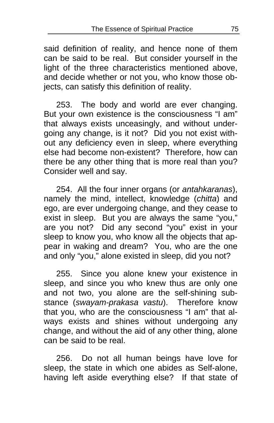said definition of reality, and hence none of them can be said to be real. But consider yourself in the light of the three characteristics mentioned above, and decide whether or not you, who know those objects, can satisfy this definition of reality.

253. The body and world are ever changing. But your own existence is the consciousness "I am" that always exists unceasingly, and without undergoing any change, is it not? Did you not exist without any deficiency even in sleep, where everything else had become non-existent? Therefore, how can there be any other thing that is more real than you? Consider well and say.

254. All the four inner organs (or *antahkaranas*), namely the mind, intellect, knowledge (*chitta*) and ego, are ever undergoing change, and they cease to exist in sleep. But you are always the same "you," are you not? Did any second "you" exist in your sleep to know you, who know all the objects that appear in waking and dream? You, who are the one and only "you," alone existed in sleep, did you not?

255. Since you alone knew your existence in sleep, and since you who knew thus are only one and not two, you alone are the self-shining substance (*swayam-prakasa vastu*). Therefore know that you, who are the consciousness "I am" that always exists and shines without undergoing any change, and without the aid of any other thing, alone can be said to be real.

256. Do not all human beings have love for sleep, the state in which one abides as Self-alone, having left aside everything else? If that state of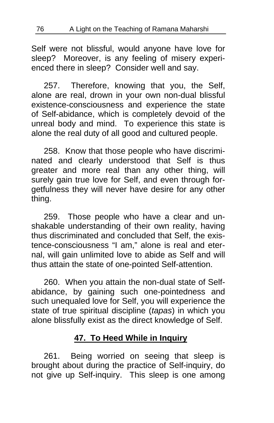Self were not blissful, would anyone have love for sleep? Moreover, is any feeling of misery experienced there in sleep? Consider well and say.

257. Therefore, knowing that you, the Self, alone are real, drown in your own non-dual blissful existence-consciousness and experience the state of Self-abidance, which is completely devoid of the unreal body and mind. To experience this state is alone the real duty of all good and cultured people.

258. Know that those people who have discriminated and clearly understood that Self is thus greater and more real than any other thing, will surely gain true love for Self, and even through forgetfulness they will never have desire for any other thing.

259. Those people who have a clear and unshakable understanding of their own reality, having thus discriminated and concluded that Self, the existence-consciousness "I am," alone is real and eternal, will gain unlimited love to abide as Self and will thus attain the state of one-pointed Self-attention.

260. When you attain the non-dual state of Selfabidance, by gaining such one-pointedness and such unequaled love for Self, you will experience the state of true spiritual discipline (*tapas*) in which you alone blissfully exist as the direct knowledge of Self.

#### **47. To Heed While in Inquiry**

261. Being worried on seeing that sleep is brought about during the practice of Self-inquiry, do not give up Self-inquiry. This sleep is one among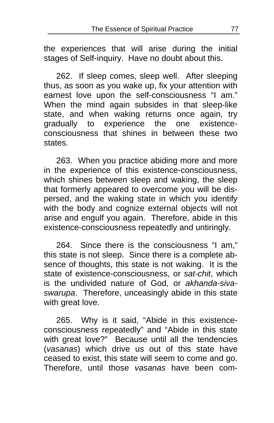the experiences that will arise during the initial stages of Self-inquiry. Have no doubt about this.

262. If sleep comes, sleep well. After sleeping thus, as soon as you wake up, fix your attention with earnest love upon the self-consciousness "I am." When the mind again subsides in that sleep-like state, and when waking returns once again, try gradually to experience the one existenceconsciousness that shines in between these two states.

263. When you practice abiding more and more in the experience of this existence-consciousness, which shines between sleep and waking, the sleep that formerly appeared to overcome you will be dispersed, and the waking state in which you identify with the body and cognize external objects will not arise and engulf you again. Therefore, abide in this existence-consciousness repeatedly and untiringly.

264. Since there is the consciousness "I am," this state is not sleep. Since there is a complete absence of thoughts, this state is not waking. It is the state of existence-consciousness, or *sat-chit*, which is the undivided nature of God, or *akhanda-sivaswarupa*. Therefore, unceasingly abide in this state with great love.

265. Why is it said, "Abide in this existenceconsciousness repeatedly" and "Abide in this state with great love?" Because until all the tendencies (*vasanas*) which drive us out of this state have ceased to exist, this state will seem to come and go. Therefore, until those *vasanas* have been com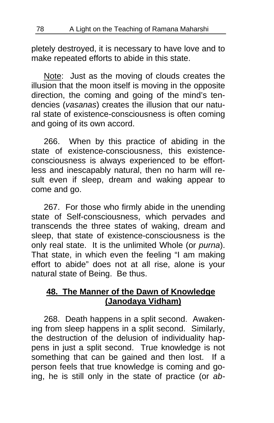pletely destroyed, it is necessary to have love and to make repeated efforts to abide in this state.

Note: Just as the moving of clouds creates the illusion that the moon itself is moving in the opposite direction, the coming and going of the mind's tendencies (*vasanas*) creates the illusion that our natural state of existence-consciousness is often coming and going of its own accord.

266. When by this practice of abiding in the state of existence-consciousness, this existenceconsciousness is always experienced to be effortless and inescapably natural, then no harm will result even if sleep, dream and waking appear to come and go.

267. For those who firmly abide in the unending state of Self-consciousness, which pervades and transcends the three states of waking, dream and sleep, that state of existence-consciousness is the only real state. It is the unlimited Whole (or *purna*). That state, in which even the feeling "I am making effort to abide" does not at all rise, alone is your natural state of Being. Be thus.

#### **48. The Manner of the Dawn of Knowledge (Janodaya Vidham)**

268. Death happens in a split second. Awakening from sleep happens in a split second. Similarly, the destruction of the delusion of individuality happens in just a split second. True knowledge is not something that can be gained and then lost. If a person feels that true knowledge is coming and going, he is still only in the state of practice (or *ab-*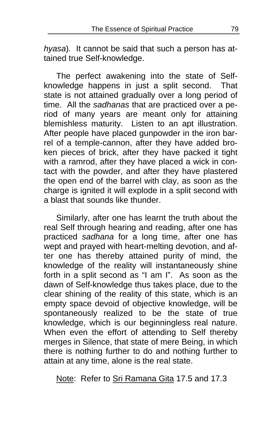*hyasa*)*.* It cannot be said that such a person has attained true Self-knowledge.

The perfect awakening into the state of Selfknowledge happens in just a split second. That state is not attained gradually over a long period of time. All the *sadhanas* that are practiced over a period of many years are meant only for attaining blemishless maturity. Listen to an apt illustration. After people have placed gunpowder in the iron barrel of a temple-cannon, after they have added broken pieces of brick, after they have packed it tight with a ramrod, after they have placed a wick in contact with the powder, and after they have plastered the open end of the barrel with clay, as soon as the charge is ignited it will explode in a split second with a blast that sounds like thunder.

Similarly, after one has learnt the truth about the real Self through hearing and reading, after one has practiced *sadhana* for a long time, after one has wept and prayed with heart-melting devotion, and after one has thereby attained purity of mind, the knowledge of the reality will instantaneously shine forth in a split second as "I am I". As soon as the dawn of Self-knowledge thus takes place, due to the clear shining of the reality of this state, which is an empty space devoid of objective knowledge, will be spontaneously realized to be the state of true knowledge, which is our beginningless real nature. When even the effort of attending to Self thereby merges in Silence, that state of mere Being, in which there is nothing further to do and nothing further to attain at any time, alone is the real state.

Note: Refer to Sri Ramana Gita 17.5 and 17.3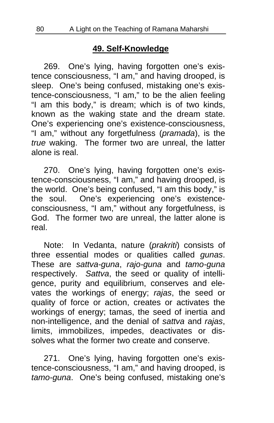## **49. Self-Knowledge**

269. One's lying, having forgotten one's existence consciousness, "I am," and having drooped, is sleep. One's being confused, mistaking one's existence-consciousness, "I am," to be the alien feeling "I am this body," is dream; which is of two kinds, known as the waking state and the dream state. One's experiencing one's existence-consciousness, "I am," without any forgetfulness (*pramada*), is the *true* waking. The former two are unreal, the latter alone is real.

270. One's lying, having forgotten one's existence-consciousness, "I am," and having drooped, is the world. One's being confused, "I am this body," is the soul. One's experiencing one's existenceconsciousness, "I am," without any forgetfulness, is God. The former two are unreal, the latter alone is real.

Note: In Vedanta, nature (*prakriti*) consists of three essential modes or qualities called *gunas*. These are *sattva-guna*, *rajo-guna* and *tamo-guna* respectively. *Sattva*, the seed or quality of intelligence, purity and equilibrium, conserves and elevates the workings of energy; *rajas*, the seed or quality of force or action, creates or activates the workings of energy; tamas, the seed of inertia and non-intelligence, and the denial of *sattva* and *rajas*, limits, immobilizes, impedes, deactivates or dissolves what the former two create and conserve.

271. One's lying, having forgotten one's existence-consciousness, "I am," and having drooped, is *tamo-guna*. One's being confused, mistaking one's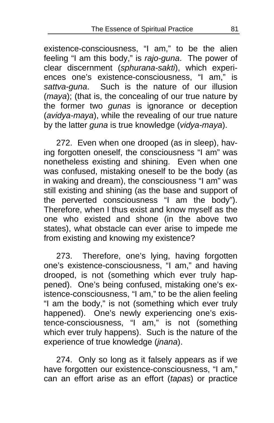existence-consciousness, "I am," to be the alien feeling "I am this body," is *rajo-guna*. The power of clear discernment (*sphurana-sakti*), which experiences one's existence-consciousness, "I am," is *sattva-guna*. Such is the nature of our illusion (*maya*); (that is, the concealing of our true nature by the former two *gunas* is ignorance or deception (*avidya-maya*), while the revealing of our true nature by the latter *guna* is true knowledge (*vidya-maya*).

272. Even when one drooped (as in sleep), having forgotten oneself, the consciousness "I am" was nonetheless existing and shining. Even when one was confused, mistaking oneself to be the body (as in waking and dream), the consciousness "I am" was still existing and shining (as the base and support of the perverted consciousness "I am the body"). Therefore, when I thus exist and know myself as the one who existed and shone (in the above two states), what obstacle can ever arise to impede me from existing and knowing my existence?

273. Therefore, one's lying, having forgotten one's existence-consciousness, "I am," and having drooped, is not (something which ever truly happened). One's being confused, mistaking one's existence-consciousness, "I am," to be the alien feeling "I am the body," is not (something which ever truly happened). One's newly experiencing one's existence-consciousness, "I am," is not (something which ever truly happens). Such is the nature of the experience of true knowledge (*jnana*).

274. Only so long as it falsely appears as if we have forgotten our existence-consciousness, "I am," can an effort arise as an effort (*tapas*) or practice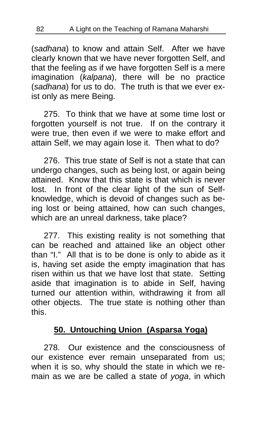(*sadhana*) to know and attain Self. After we have clearly known that we have never forgotten Self, and that the feeling as if we have forgotten Self is a mere imagination (*kalpana*), there will be no practice (*sadhana*) for us to do. The truth is that we ever exist only as mere Being.

275. To think that we have at some time lost or forgotten yourself is not true. If on the contrary it were true, then even if we were to make effort and attain Self, we may again lose it. Then what to do?

276. This true state of Self is not a state that can undergo changes, such as being lost, or again being attained. Know that this state is that which is never lost. In front of the clear light of the sun of Selfknowledge, which is devoid of changes such as being lost or being attained, how can such changes, which are an unreal darkness, take place?

277. This existing reality is not something that can be reached and attained like an object other than "I." All that is to be done is only to abide as it is, having set aside the empty imagination that has risen within us that we have lost that state. Setting aside that imagination is to abide in Self, having turned our attention within, withdrawing it from all other objects. The true state is nothing other than this.

#### **50. Untouching Union (Asparsa Yoga)**

278. Our existence and the consciousness of our existence ever remain unseparated from us; when it is so, why should the state in which we remain as we are be called a state of *yoga*, in which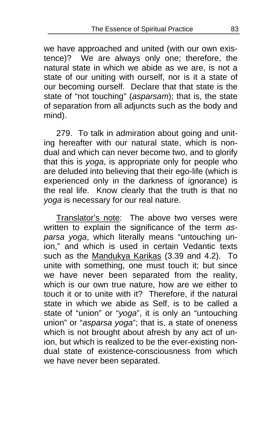we have approached and united (with our own existence)? We are always only one; therefore, the natural state in which we abide as we are, is not a state of our uniting with ourself, nor is it a state of our becoming ourself. Declare that that state is the state of "not touching" (*asparsam*); that is, the state of separation from all adjuncts such as the body and mind).

279. To talk in admiration about going and uniting hereafter with our natural state, which is nondual and which can never become two, and to glorify that this is *yoga*, is appropriate only for people who are deluded into believing that their ego-life (which is experienced only in the darkness of ignorance) is the real life. Know clearly that the truth is that no *yoga* is necessary for our real nature.

Translator's note: The above two verses were written to explain the significance of the term *asparsa yoga*, which literally means "untouching union," and which is used in certain Vedantic texts such as the Mandukya Karikas (3.39 and 4.2). To unite with something, one must touch it; but since we have never been separated from the reality, which is our own true nature, how are we either to touch it or to unite with it? Therefore, if the natural state in which we abide as Self, is to be called a state of "union" or "*yoga*", it is only an "untouching union" or "*asparsa yoga*"; that is, a state of oneness which is not brought about afresh by any act of union, but which is realized to be the ever-existing nondual state of existence-consciousness from which we have never been separated.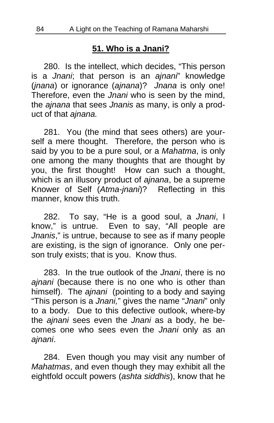### **51. Who is a Jnani?**

280. Is the intellect, which decides, "This person is a *Jnani*; that person is an *ajnani*" knowledge (*jnana*) or ignorance (*ajnana*)? *Jnana* is only one! Therefore, even the *Jnani* who is seen by the mind, the *ajnana* that sees *Jnanis* as many, is only a product of that *ajnana.* 

281. You (the mind that sees others) are yourself a mere thought. Therefore, the person who is said by you to be a pure soul, or a *Mahatma*, is only one among the many thoughts that are thought by you, the first thought! How can such a thought, which is an illusory product of *ajnana*, be a supreme Knower of Self (*Atma-jnani*)? Reflecting in this manner, know this truth.

282. To say, "He is a good soul, a *Jnani*, I know," is untrue. Even to say, "All people are *Jnanis*," is untrue, because to see as if many people are existing, is the sign of ignorance. Only one person truly exists; that is you. Know thus.

283. In the true outlook of the *Jnani*, there is no *ajnani* (because there is no one who is other than himself). The *ajnani* (pointing to a body and saying "This person is a *Jnani,*" gives the name "*Jnani*" only to a body. Due to this defective outlook, where-by the *ajnani* sees even the *Jnani* as a body, he becomes one who sees even the *Jnani* only as an *ajnani*.

284. Even though you may visit any number of *Mahatmas*, and even though they may exhibit all the eightfold occult powers (*ashta siddhis*), know that he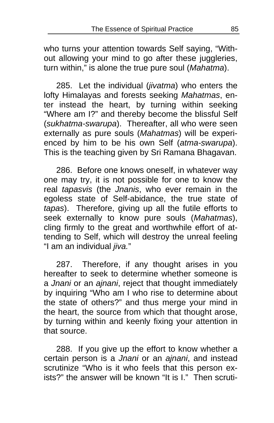who turns your attention towards Self saying, "Without allowing your mind to go after these juggleries, turn within," is alone the true pure soul (*Mahatma*).

285. Let the individual (*jivatma*) who enters the lofty Himalayas and forests seeking *Mahatmas*, enter instead the heart, by turning within seeking "Where am I?" and thereby become the blissful Self (*sukhatma-swarupa*). Thereafter, all who were seen externally as pure souls (*Mahatmas*) will be experienced by him to be his own Self (*atma-swarupa*). This is the teaching given by Sri Ramana Bhagavan.

286. Before one knows oneself, in whatever way one may try, it is not possible for one to know the real *tapasvis* (the *Jnanis*, who ever remain in the egoless state of Self-abidance, the true state of *tapas*). Therefore, giving up all the futile efforts to seek externally to know pure souls (*Mahatmas*), cling firmly to the great and worthwhile effort of attending to Self, which will destroy the unreal feeling "I am an individual *jiva.*"

287. Therefore, if any thought arises in you hereafter to seek to determine whether someone is a *Jnani* or an *ajnani*, reject that thought immediately by inquiring "Who am I who rise to determine about the state of others?" and thus merge your mind in the heart, the source from which that thought arose, by turning within and keenly fixing your attention in that source.

288. If you give up the effort to know whether a certain person is a *Jnani* or an *ajnani*, and instead scrutinize "Who is it who feels that this person exists?" the answer will be known "It is I." Then scruti-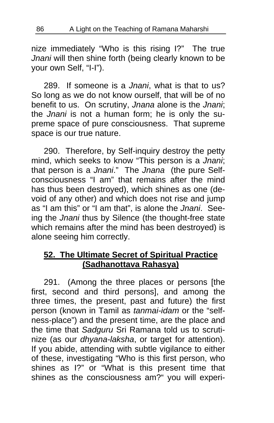nize immediately "Who is this rising I?" The true *Jnani* will then shine forth (being clearly known to be your own Self, "I-I").

289. If someone is a *Jnani*, what is that to us? So long as we do not know ourself, that will be of no benefit to us. On scrutiny, *Jnana* alone is the *Jnani*; the *Jnani* is not a human form; he is only the supreme space of pure consciousness. That supreme space is our true nature.

290. Therefore, by Self-inquiry destroy the petty mind, which seeks to know "This person is a *Jnani*; that person is a *Jnani*." The *Jnana* (the pure Selfconsciousness "I am" that remains after the mind has thus been destroyed), which shines as one (devoid of any other) and which does not rise and jump as "I am this" or "I am that", is alone the *Jnani*. Seeing the *Jnani* thus by Silence (the thought-free state which remains after the mind has been destroyed) is alone seeing him correctly.

#### **52. The Ultimate Secret of Spiritual Practice (Sadhanottava Rahasya)**

291. (Among the three places or persons [the first, second and third persons], and among the three times, the present, past and future) the first person (known in Tamil as *tanmai-idam* or the "selfness-place") and the present time, are the place and the time that *Sadguru* Sri Ramana told us to scrutinize (as our *dhyana-laksha*, or target for attention). If you abide, attending with subtle vigilance to either of these, investigating "Who is this first person, who shines as I?" or "What is this present time that shines as the consciousness am?" you will experi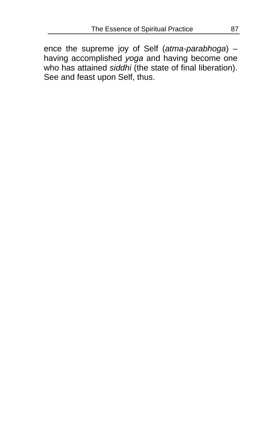ence the supreme joy of Self (*atma-parabhoga*) – having accomplished *yoga* and having become one who has attained *siddhi* (the state of final liberation). See and feast upon Self, thus.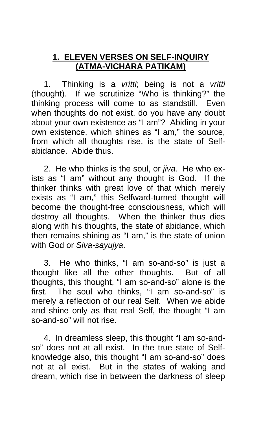### **1. ELEVEN VERSES ON SELF-INQUIRY (ATMA-VICHARA PATIKAM)**

1. Thinking is a *vritti*; being is not a *vritti* (thought). If we scrutinize "Who is thinking?" the thinking process will come to as standstill. Even when thoughts do not exist, do you have any doubt about your own existence as "I am"? Abiding in your own existence, which shines as "I am," the source, from which all thoughts rise, is the state of Selfabidance. Abide thus.

2. He who thinks is the soul, or *jiva*. He who exists as "I am" without any thought is God. If the thinker thinks with great love of that which merely exists as "I am," this Selfward-turned thought will become the thought-free consciousness, which will destroy all thoughts. When the thinker thus dies along with his thoughts, the state of abidance, which then remains shining as "I am," is the state of union with God or *Siva-sayujya*.

3. He who thinks, "I am so-and-so" is just a thought like all the other thoughts. But of all thoughts, this thought, "I am so-and-so" alone is the first. The soul who thinks, "I am so-and-so" is merely a reflection of our real Self. When we abide and shine only as that real Self, the thought "I am so-and-so" will not rise.

4. In dreamless sleep, this thought "I am so-andso" does not at all exist. In the true state of Selfknowledge also, this thought "I am so-and-so" does not at all exist. But in the states of waking and dream, which rise in between the darkness of sleep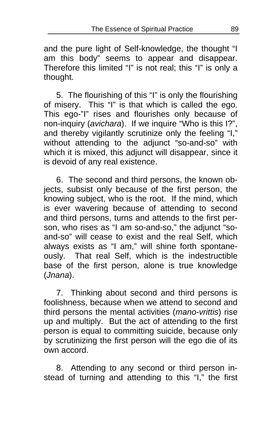and the pure light of Self-knowledge, the thought "I am this body" seems to appear and disappear. Therefore this limited "I" is not real; this "I" is only a thought.

5. The flourishing of this "I" is only the flourishing of misery. This "I" is that which is called the ego. This ego-"I" rises and flourishes only because of non-inquiry (*avichara*). If we inquire "Who is this I?", and thereby vigilantly scrutinize only the feeling "I," without attending to the adjunct "so-and-so" with which it is mixed, this adjunct will disappear, since it is devoid of any real existence.

6. The second and third persons, the known objects, subsist only because of the first person, the knowing subject, who is the root. If the mind, which is ever wavering because of attending to second and third persons, turns and attends to the first person, who rises as "I am so-and-so," the adjunct "soand-so" will cease to exist and the real Self, which always exists as "I am," will shine forth spontaneously. That real Self, which is the indestructible base of the first person, alone is true knowledge (*Jnana*).

7. Thinking about second and third persons is foolishness, because when we attend to second and third persons the mental activities (*mano-vrittis*) rise up and multiply. But the act of attending to the first person is equal to committing suicide, because only by scrutinizing the first person will the ego die of its own accord.

8. Attending to any second or third person instead of turning and attending to this "I," the first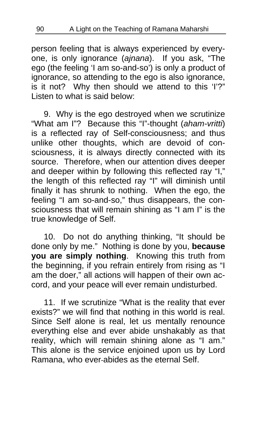person feeling that is always experienced by everyone, is only ignorance (*ajnana*). If you ask, "The ego (the feeling 'I am so-and-so') is only a product of ignorance, so attending to the ego is also ignorance, is it not? Why then should we attend to this 'I'?" Listen to what is said below:

9. Why is the ego destroyed when we scrutinize "What am I"? Because this "I"-thought (*aham-vritti*) is a reflected ray of Self-consciousness; and thus unlike other thoughts, which are devoid of consciousness, it is always directly connected with its source. Therefore, when our attention dives deeper and deeper within by following this reflected ray "I," the length of this reflected ray "I" will diminish until finally it has shrunk to nothing. When the ego, the feeling "I am so-and-so," thus disappears, the consciousness that will remain shining as "I am I" is the true knowledge of Self.

10. Do not do anything thinking, "It should be done only by me." Nothing is done by you, **because you are simply nothing**. Knowing this truth from the beginning, if you refrain entirely from rising as "I am the doer," all actions will happen of their own accord, and your peace will ever remain undisturbed.

11. If we scrutinize "What is the reality that ever exists?" we will find that nothing in this world is real. Since Self alone is real, let us mentally renounce everything else and ever abide unshakably as that reality, which will remain shining alone as "I am." This alone is the service enjoined upon us by Lord Ramana, who ever-abides as the eternal Self.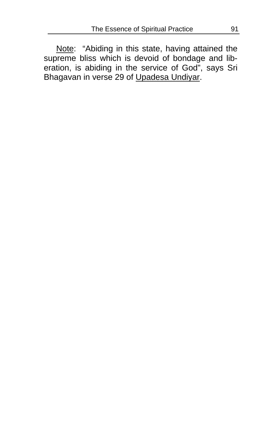Note: "Abiding in this state, having attained the supreme bliss which is devoid of bondage and liberation, is abiding in the service of God", says Sri Bhagavan in verse 29 of Upadesa Undiyar.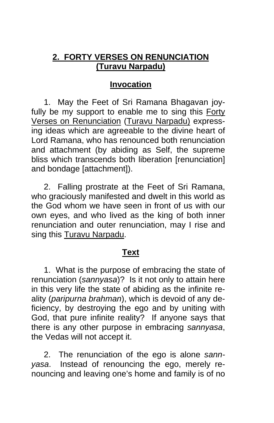## **2. FORTY VERSES ON RENUNCIATION (Turavu Narpadu)**

#### **Invocation**

1. May the Feet of Sri Ramana Bhagavan joyfully be my support to enable me to sing this Forty Verses on Renunciation (Turavu Narpadu) expressing ideas which are agreeable to the divine heart of Lord Ramana, who has renounced both renunciation and attachment (by abiding as Self, the supreme bliss which transcends both liberation [renunciation] and bondage [attachment]).

2. Falling prostrate at the Feet of Sri Ramana, who graciously manifested and dwelt in this world as the God whom we have seen in front of us with our own eyes, and who lived as the king of both inner renunciation and outer renunciation, may I rise and sing this Turavu Narpadu.

#### **Text**

1. What is the purpose of embracing the state of renunciation (*sannyasa*)? Is it not only to attain here in this very life the state of abiding as the infinite reality (*paripurna brahman*), which is devoid of any deficiency, by destroying the ego and by uniting with God, that pure infinite reality? If anyone says that there is any other purpose in embracing *sannyasa*, the Vedas will not accept it.

2. The renunciation of the ego is alone *sannyasa*. Instead of renouncing the ego, merely renouncing and leaving one's home and family is of no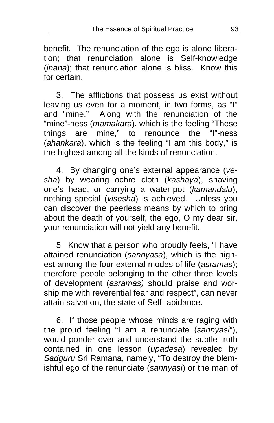benefit. The renunciation of the ego is alone liberation; that renunciation alone is Self-knowledge (*jnana*); that renunciation alone is bliss. Know this for certain.

3. The afflictions that possess us exist without leaving us even for a moment, in two forms, as "I" and "mine." Along with the renunciation of the "mine"-ness (*mamakara*), which is the feeling "These<br>things are mine," to renounce the "I"-ness mine," to renounce the (*ahankara*), which is the feeling "I am this body," is the highest among all the kinds of renunciation.

4. By changing one's external appearance (*vesha*) by wearing ochre cloth (*kashaya*), shaving one's head, or carrying a water-pot (*kamandalu*), nothing special (*visesha*) is achieved. Unless you can discover the peerless means by which to bring about the death of yourself, the ego, O my dear sir, your renunciation will not yield any benefit.

5. Know that a person who proudly feels, "I have attained renunciation (*sannyasa*), which is the highest among the four external modes of life (*asramas*); therefore people belonging to the other three levels of development (*asramas)* should praise and worship me with reverential fear and respect", can never attain salvation, the state of Self- abidance.

6. If those people whose minds are raging with the proud feeling "I am a renunciate (*sannyasi*"), would ponder over and understand the subtle truth contained in one lesson (*upadesa*) revealed by *Sadguru* Sri Ramana, namely, "To destroy the blemishful ego of the renunciate (*sannyasi*) or the man of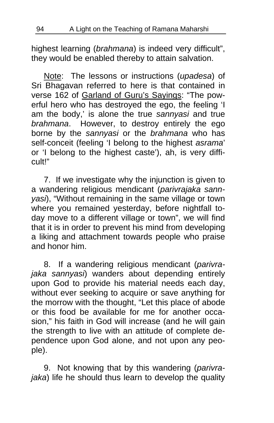highest learning (*brahmana*) is indeed very difficult", they would be enabled thereby to attain salvation.

Note: The lessons or instructions (*upadesa*) of Sri Bhagavan referred to here is that contained in verse 162 of Garland of Guru's Sayings: "The powerful hero who has destroyed the ego, the feeling 'I am the body,' is alone the true *sannyasi* and true *brahmana*. However, to destroy entirely the ego borne by the *sannyasi* or the *brahmana* who has self-conceit (feeling 'I belong to the highest *asrama*' or 'I belong to the highest caste'), ah, is very difficult!"

7. If we investigate why the injunction is given to a wandering religious mendicant (*parivrajaka sannyasi*), "Without remaining in the same village or town where you remained yesterday, before nightfall today move to a different village or town", we will find that it is in order to prevent his mind from developing a liking and attachment towards people who praise and honor him.

8. If a wandering religious mendicant (*parivrajaka sannyasi*) wanders about depending entirely upon God to provide his material needs each day, without ever seeking to acquire or save anything for the morrow with the thought, "Let this place of abode or this food be available for me for another occasion," his faith in God will increase (and he will gain the strength to live with an attitude of complete dependence upon God alone, and not upon any people).

9. Not knowing that by this wandering (*parivrajaka*) life he should thus learn to develop the quality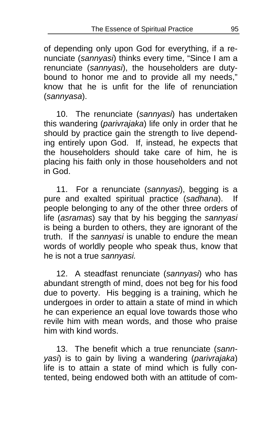of depending only upon God for everything, if a renunciate (*sannyasi*) thinks every time, "Since I am a renunciate (*sannyasi*), the householders are dutybound to honor me and to provide all my needs," know that he is unfit for the life of renunciation (*sannyasa*).

10. The renunciate (*sannyasi*) has undertaken this wandering (*parivrajaka*) life only in order that he should by practice gain the strength to live depending entirely upon God. If, instead, he expects that the householders should take care of him, he is placing his faith only in those householders and not in God.

11. For a renunciate (*sannyasi*), begging is a pure and exalted spiritual practice (sadhana). people belonging to any of the other three orders of life (*asramas*) say that by his begging the *sannyasi* is being a burden to others, they are ignorant of the truth. If the *sannyasi* is unable to endure the mean words of worldly people who speak thus, know that he is not a true *sannyasi.*

12. A steadfast renunciate (*sannyasi*) who has abundant strength of mind, does not beg for his food due to poverty. His begging is a training, which he undergoes in order to attain a state of mind in which he can experience an equal love towards those who revile him with mean words, and those who praise him with kind words.

13. The benefit which a true renunciate (*sannyasi*) is to gain by living a wandering (*parivrajaka*) life is to attain a state of mind which is fully contented, being endowed both with an attitude of com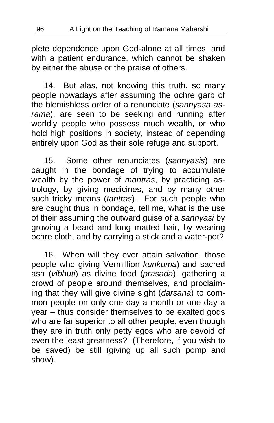plete dependence upon God-alone at all times, and with a patient endurance, which cannot be shaken by either the abuse or the praise of others.

14. But alas, not knowing this truth, so many people nowadays after assuming the ochre garb of the blemishless order of a renunciate (*sannyasa as*rama), are seen to be seeking and running after worldly people who possess much wealth, or who hold high positions in society, instead of depending entirely upon God as their sole refuge and support.

15. Some other renunciates (*sannyasis*) are caught in the bondage of trying to accumulate wealth by the power of *mantras*, by practicing astrology, by giving medicines, and by many other such tricky means (*tantras*). For such people who are caught thus in bondage, tell me, what is the use of their assuming the outward guise of a *sannyasi* by growing a beard and long matted hair, by wearing ochre cloth, and by carrying a stick and a water-pot?

16. When will they ever attain salvation, those people who giving Vermillion *kunkuma*) and sacred ash (*vibhuti*) as divine food (*prasada*), gathering a crowd of people around themselves, and proclaiming that they will give divine sight (*darsana*) to common people on only one day a month or one day a year – thus consider themselves to be exalted gods who are far superior to all other people, even though they are in truth only petty egos who are devoid of even the least greatness? (Therefore, if you wish to be saved) be still (giving up all such pomp and show).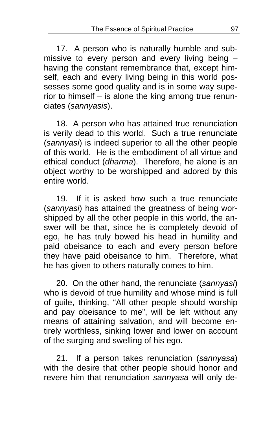17. A person who is naturally humble and submissive to every person and every living being – having the constant remembrance that, except himself, each and every living being in this world possesses some good quality and is in some way superior to himself – is alone the king among true renunciates (*sannyasis*).

18. A person who has attained true renunciation is verily dead to this world. Such a true renunciate (*sannyasi*) is indeed superior to all the other people of this world. He is the embodiment of all virtue and ethical conduct (*dharma*). Therefore, he alone is an object worthy to be worshipped and adored by this entire world.

19. If it is asked how such a true renunciate (*sannyasi*) has attained the greatness of being worshipped by all the other people in this world, the answer will be that, since he is completely devoid of ego, he has truly bowed his head in humility and paid obeisance to each and every person before they have paid obeisance to him. Therefore, what he has given to others naturally comes to him.

20. On the other hand, the renunciate (*sannyasi*) who is devoid of true humility and whose mind is full of guile, thinking, "All other people should worship and pay obeisance to me", will be left without any means of attaining salvation, and will become entirely worthless, sinking lower and lower on account of the surging and swelling of his ego.

21. If a person takes renunciation (*sannyasa*) with the desire that other people should honor and revere him that renunciation *sannyasa* will only de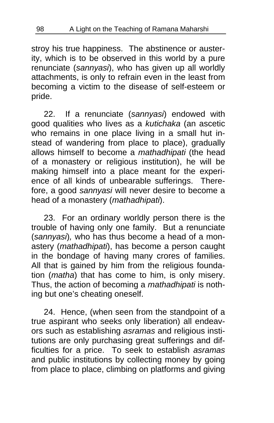stroy his true happiness. The abstinence or austerity, which is to be observed in this world by a pure renunciate (*sannyasi*), who has given up all worldly attachments, is only to refrain even in the least from becoming a victim to the disease of self-esteem or pride.

22. If a renunciate (*sannyasi*) endowed with good qualities who lives as a *kutichaka* (an ascetic who remains in one place living in a small hut instead of wandering from place to place), gradually allows himself to become a *mathadhipati* (the head of a monastery or religious institution), he will be making himself into a place meant for the experience of all kinds of unbearable sufferings. Therefore, a good *sannyasi* will never desire to become a head of a monastery (*mathadhipati*).

23. For an ordinary worldly person there is the trouble of having only one family. But a renunciate (*sannyasi*)*,* who has thus become a head of a monastery (*mathadhipati*), has become a person caught in the bondage of having many crores of families. All that is gained by him from the religious foundation (*matha*) that has come to him, is only misery. Thus, the action of becoming a *mathadhipati* is nothing but one's cheating oneself.

24. Hence, (when seen from the standpoint of a true aspirant who seeks only liberation) all endeavors such as establishing *asramas* and religious institutions are only purchasing great sufferings and difficulties for a price. To seek to establish *asramas*  and public institutions by collecting money by going from place to place, climbing on platforms and giving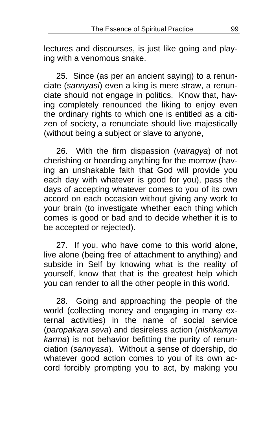lectures and discourses, is just like going and playing with a venomous snake.

25. Since (as per an ancient saying) to a renunciate (*sannyasi*) even a king is mere straw, a renunciate should not engage in politics. Know that, having completely renounced the liking to enjoy even the ordinary rights to which one is entitled as a citizen of society, a renunciate should live majestically (without being a subject or slave to anyone,

26. With the firm dispassion (*vairagya*) of not cherishing or hoarding anything for the morrow (having an unshakable faith that God will provide you each day with whatever is good for you), pass the days of accepting whatever comes to you of its own accord on each occasion without giving any work to your brain (to investigate whether each thing which comes is good or bad and to decide whether it is to be accepted or rejected).

27. If you, who have come to this world alone, live alone (being free of attachment to anything) and subside in Self by knowing what is the reality of yourself, know that that is the greatest help which you can render to all the other people in this world.

28. Going and approaching the people of the world (collecting money and engaging in many external activities) in the name of social service (*paropakara seva*) and desireless action (*nishkamya karma*) is not behavior befitting the purity of renunciation (*sannyasa*)*.* Without a sense of doership, do whatever good action comes to you of its own accord forcibly prompting you to act, by making you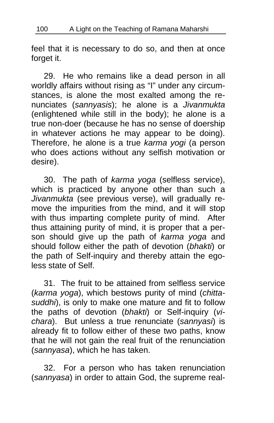feel that it is necessary to do so, and then at once forget it.

29. He who remains like a dead person in all worldly affairs without rising as "I" under any circumstances, is alone the most exalted among the renunciates (*sannyasis*); he alone is a *Jivanmukta*  (enlightened while still in the body); he alone is a true non-doer (because he has no sense of doership in whatever actions he may appear to be doing). Therefore, he alone is a true *karma yogi* (a person who does actions without any selfish motivation or desire).

30. The path of *karma yoga* (selfless service), which is practiced by anyone other than such a *Jivanmukta* (see previous verse), will gradually remove the impurities from the mind, and it will stop with thus imparting complete purity of mind. After thus attaining purity of mind, it is proper that a person should give up the path of *karma yoga* and should follow either the path of devotion (*bhakti*) or the path of Self-inquiry and thereby attain the egoless state of Self.

31. The fruit to be attained from selfless service (*karma yoga*), which bestows purity of mind (*chittasuddhi*), is only to make one mature and fit to follow the paths of devotion (*bhakti*) or Self-inquiry (*vichara*). But unless a true renunciate (*sannyasi*) is already fit to follow either of these two paths, know that he will not gain the real fruit of the renunciation (*sannyasa*), which he has taken.

32. For a person who has taken renunciation (*sannyasa*) in order to attain God, the supreme real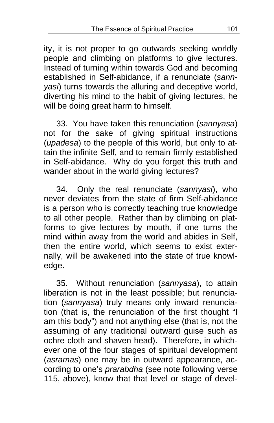ity, it is not proper to go outwards seeking worldly people and climbing on platforms to give lectures. Instead of turning within towards God and becoming established in Self-abidance, if a renunciate (*sannyasi*) turns towards the alluring and deceptive world, diverting his mind to the habit of giving lectures, he will be doing great harm to himself.

33. You have taken this renunciation (*sannyasa*) not for the sake of giving spiritual instructions (*upadesa*) to the people of this world, but only to attain the infinite Self, and to remain firmly established in Self-abidance. Why do you forget this truth and wander about in the world giving lectures?

34. Only the real renunciate (*sannyasi*), who never deviates from the state of firm Self-abidance is a person who is correctly teaching true knowledge to all other people. Rather than by climbing on platforms to give lectures by mouth, if one turns the mind within away from the world and abides in Self, then the entire world, which seems to exist externally, will be awakened into the state of true knowledge.

35. Without renunciation (*sannyasa*), to attain liberation is not in the least possible; but renunciation (*sannyasa*) truly means only inward renunciation (that is, the renunciation of the first thought "I am this body") and not anything else (that is, not the assuming of any traditional outward guise such as ochre cloth and shaven head). Therefore, in whichever one of the four stages of spiritual development (*asramas*) one may be in outward appearance, according to one's *prarabdha* (see note following verse 115, above), know that that level or stage of devel-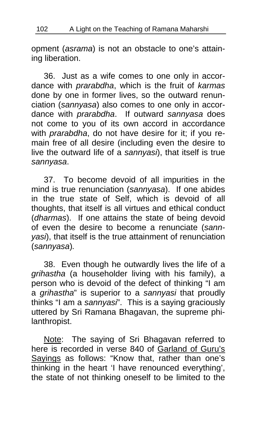opment (*asrama*) is not an obstacle to one's attaining liberation.

36. Just as a wife comes to one only in accordance with *prarabdha*, which is the fruit of *karmas*  done by one in former lives, so the outward renunciation (*sannyasa*) also comes to one only in accordance with *prarabdha*. If outward *sannyasa* does not come to you of its own accord in accordance with *prarabdha*, do not have desire for it; if you remain free of all desire (including even the desire to live the outward life of a *sannyasi*), that itself is true *sannyasa*.

37. To become devoid of all impurities in the mind is true renunciation (*sannyasa*). If one abides in the true state of Self, which is devoid of all thoughts, that itself is all virtues and ethical conduct (*dharmas*). If one attains the state of being devoid of even the desire to become a renunciate (*sannyasi*), that itself is the true attainment of renunciation (*sannyasa*)*.*

38. Even though he outwardly lives the life of a *grihastha* (a householder living with his family), a person who is devoid of the defect of thinking "I am a *grihastha*" is superior to a *sannyasi* that proudly thinks "I am a *sannyasi*". This is a saying graciously uttered by Sri Ramana Bhagavan, the supreme philanthropist.

Note: The saying of Sri Bhagavan referred to here is recorded in verse 840 of Garland of Guru's Sayings as follows: "Know that, rather than one's thinking in the heart 'I have renounced everything', the state of not thinking oneself to be limited to the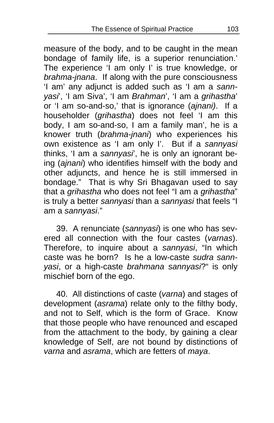measure of the body, and to be caught in the mean bondage of family life, is a superior renunciation.' The experience 'I am only I' is true knowledge, or *brahma-jnana*. If along with the pure consciousness 'I am' any adjunct is added such as 'I am a *sannyasi*', 'I am Siva', 'I am *Brahman*', 'I am a *grihastha*' or 'I am so-and-so,' that is ignorance (*ajnani)*. If a householder (*grihastha*) does not feel 'I am this body, I am so-and-so, I am a family man', he is a knower truth (*brahma-jnani*) who experiences his own existence as 'I am only I'. But if a *sannyasi* thinks, 'I am a *sannyasi*', he is only an ignorant being (*ajnani*) who identifies himself with the body and other adjuncts, and hence he is still immersed in bondage." That is why Sri Bhagavan used to say that a *grihastha* who does not feel "I am a *grihastha*" is truly a better *sannyasi* than a *sannyasi* that feels "I am a *sannyasi*."

39. A renunciate (*sannyasi*) is one who has severed all connection with the four castes (*varnas*). Therefore, to inquire about a *sannyasi*, "In which caste was he born? Is he a low-caste *sudra sannyasi*, or a high-caste *brahmana sannyasi*?" is only mischief born of the ego.

40. All distinctions of caste (*varna*) and stages of development (*asrama*) relate only to the filthy body, and not to Self, which is the form of Grace. Know that those people who have renounced and escaped from the attachment to the body, by gaining a clear knowledge of Self, are not bound by distinctions of *varna* and *asrama*, which are fetters of *maya*.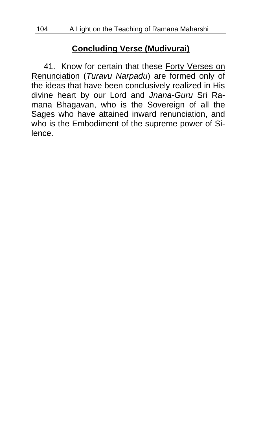# **Concluding Verse (Mudivurai)**

41. Know for certain that these Forty Verses on Renunciation (*Turavu Narpadu*) are formed only of the ideas that have been conclusively realized in His divine heart by our Lord and *Jnana-Guru* Sri Ramana Bhagavan, who is the Sovereign of all the Sages who have attained inward renunciation, and who is the Embodiment of the supreme power of Silence.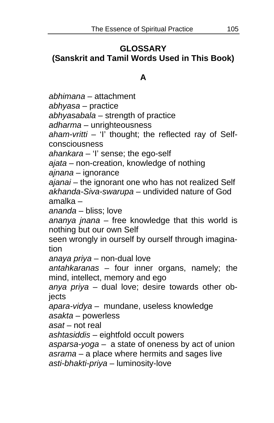# **GLOSSARY**

# **(Sanskrit and Tamil Words Used in This Book)**

## **A**

*abhimana* – attachment *abhyasa* – practice *abhyasabala* – strength of practice *adharma* – unrighteousness *aham-vritti* – 'I' thought; the reflected ray of Selfconsciousness *ahankara* – 'I' sense; the ego-self *ajata* – non-creation, knowledge of nothing *ajnana* – ignorance *ajanai* – the ignorant one who has not realized Self *akhanda-Siva-swarupa* – undivided nature of God amalka – *ananda* – bliss; love *ananya jnana* – free knowledge that this world is nothing but our own Self seen wrongly in ourself by ourself through imagination *anaya priya* – non-dual love *antahkaranas* – four inner organs, namely; the mind, intellect, memory and ego *anya priya* – dual love; desire towards other objects *apara-vidya* – mundane, useless knowledge *asakta* – powerless *asat* – not real *ashtasiddis* – eightfold occult powers *asparsa-yoga* – a state of oneness by act of union *asrama* – a place where hermits and sages live *asti-bhakti-priya* – luminosity-love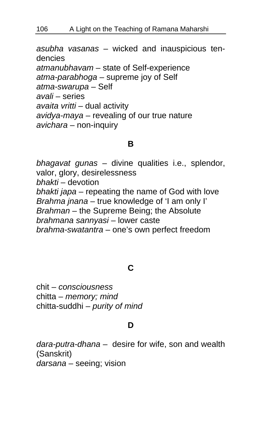*asubha vasanas* – wicked and inauspicious tendencies *atmanubhavam* – state of Self-experience *atma-parabhoga* – supreme joy of Self *atma-swarupa* – Self *avali* – series *avaita vritti* – dual activity *avidya-maya* – revealing of our true nature *avichara* – non-inquiry

#### **B**

*bhagavat gunas* – divine qualities i.e., splendor, valor, glory, desirelessness *bhakti* – devotion *bhakti japa* – repeating the name of God with love *Brahma jnana* – true knowledge of 'I am only I' *Brahman* – the Supreme Being; the Absolute *brahmana sannyasi* – lower caste *brahma-swatantra* – one's own perfect freedom

#### **C**

chit – *consciousness* chitta – *memory; mind* chitta-suddhi – *purity of mind*

#### **D**

*dara-putra-dhana* – desire for wife, son and wealth (Sanskrit) *darsana* – seeing; vision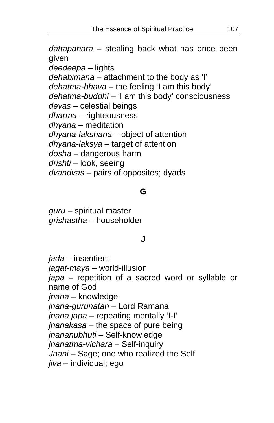*dattapahara* – stealing back what has once been given *deedeepa* – lights *dehabimana* – attachment to the body as 'I' *dehatma-bhava* – the feeling 'I am this body' *dehatma-buddhi* – 'I am this body' consciousness *devas* – celestial beings *dharma* – righteousness *dhyana* – meditation *dhyana-lakshana* – object of attention *dhyana-laksya* – target of attention *dosha* – dangerous harm *drishti* – look, seeing *dvandvas* – pairs of opposites; dyads

## **G**

*guru* – spiritual master *grishastha* – householder

#### **J**

*jada* – insentient *jagat-maya* – world-illusion *japa* – repetition of a sacred word or syllable or name of God *jnana* – knowledge *jnana-gurunatan* – Lord Ramana *jnana japa* – repeating mentally 'I-I' *jnanakasa* – the space of pure being *jnananubhuti* – Self-knowledge *jnanatma*-*vichara* – Self-inquiry *Jnani* – Sage; one who realized the Self *jiva* – individual; ego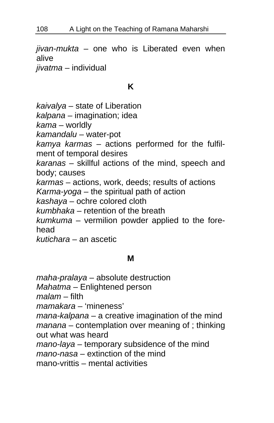*jivan-mukta* – one who is Liberated even when alive

*jivatma* – individual

### **K**

*kaivalya* – state of Liberation *kalpana* – imagination; idea *kama* – worldly *kamandalu* – water-pot *kamya karmas* – actions performed for the fulfilment of temporal desires *karanas* – skillful actions of the mind, speech and body; causes *karmas* – actions, work, deeds; results of actions *Karma-yoga* – the spiritual path of action *kashaya* – ochre colored cloth *kumbhaka* – retention of the breath *kumkuma* – vermilion powder applied to the forehead *kutichara* – an ascetic

#### **M**

*maha-pralaya* – absolute destruction *Mahatma* – Enlightened person *malam* – filth *mamakara* – 'mineness' *mana-kalpana* – a creative imagination of the mind *manana* – contemplation over meaning of ; thinking out what was heard *mano-laya* – temporary subsidence of the mind *mano-nasa* – extinction of the mind mano-vrittis – mental activities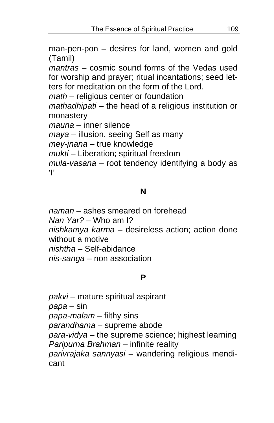man-pen-pon – desires for land, women and gold (Tamil)

*mantras* – cosmic sound forms of the Vedas used for worship and prayer; ritual incantations; seed letters for meditation on the form of the Lord.

*math* – religious center or foundation

*mathadhipati* – the head of a religious institution or monastery

*mauna* – inner silence

*maya* – illusion, seeing Self as many

*mey-jnana* – true knowledge

*mukti* – Liberation; spiritual freedom

*mula-vasana* – root tendency identifying a body as 'I'

# **N**

*naman* – ashes smeared on forehead *Nan Yar?* – Who am I? *nishkamya karma* – desireless action; action done without a motive *nishtha* – Self-abidance *nis-sanga* – non association

## **P**

*pakvi* – mature spiritual aspirant *papa* – sin *papa-malam* – filthy sins *parandhama* – supreme abode *para-vidya* – the supreme science; highest learning *Paripurna Brahman* – infinite reality *parivrajaka sannyasi* – wandering religious mendicant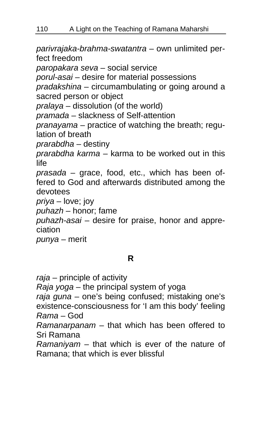*parivrajaka-brahma-swatantra* – own unlimited perfect freedom *paropakara seva* – social service *porul-asai* – desire for material possessions *pradakshina* – circumambulating or going around a sacred person or object *pralaya* – dissolution (of the world) *pramada* – slackness of Self-attention *pranayama* – practice of watching the breath; regulation of breath *prarabdha* – destiny *prarabdha karma* – karma to be worked out in this life *prasada* – grace, food, etc., which has been offered to God and afterwards distributed among the devotees *priya* – love; joy *puhazh* – honor; fame *puhazh-asai* – desire for praise, honor and appreciation *punya* – merit

### **R**

*raja* – principle of activity

*Raja yoga* – the principal system of yoga

*raja guna* – one's being confused; mistaking one's existence-consciousness for 'I am this body' feeling *Rama* – God

*Ramanarpanam* – that which has been offered to Sri Ramana

*Ramaniyam* – that which is ever of the nature of Ramana; that which is ever blissful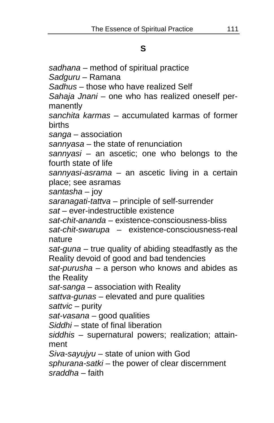### **S**

*sadhana* – method of spiritual practice *Sadguru* – Ramana *Sadhus* – those who have realized Self *Sahaja Jnani* – one who has realized oneself permanently *sanchita karmas* – accumulated karmas of former births *sanga* – association *sannyasa* – the state of renunciation *sannyasi* – an ascetic; one who belongs to the fourth state of life *sannyasi-asrama* – an ascetic living in a certain place; see asramas *santasha* – joy *saranagati-tattva* – principle of self-surrender *sat* – ever-indestructible existence *sat-chit-ananda* – existence-consciousness-bliss *sat-chit-swarupa* – existence-consciousness-real nature *sat-guna* – true quality of abiding steadfastly as the Reality devoid of good and bad tendencies *sat-purusha* – a person who knows and abides as the Reality *sat-sanga* – association with Reality *sattva-gunas* – elevated and pure qualities *sattvic* – purity *sat-vasana* – good qualities *Siddhi* – state of final liberation *siddhis* – supernatural powers; realization; attainment *Siva-sayujyu* – state of union with God *sphurana-satki* – the power of clear discernment *sraddha* – faith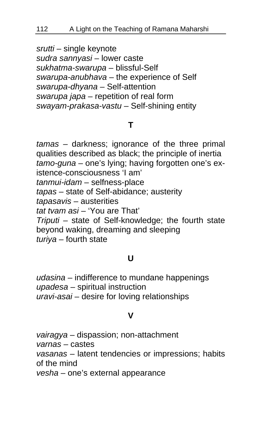*srutti* – single keynote *sudra sannyasi* – lower caste *sukhatma-swarupa* – blissful-Self *swarupa-anubhava* – the experience of Self *swarupa-dhyana* – Self-attention *swarupa japa* – repetition of real form *swayam-prakasa-vastu* – Self-shining entity

# **T**

*tamas* – darkness; ignorance of the three primal qualities described as black; the principle of inertia *tamo-guna* – one's lying; having forgotten one's existence-consciousness 'I am' *tanmui-idam* – selfness-place *tapas* – state of Self-abidance; austerity *tapasavis* – austerities *tat tvam asi* – 'You are That' *Triputi* – state of Self-knowledge; the fourth state beyond waking, dreaming and sleeping *turiya* – fourth state

### **U**

*udasina* – indifference to mundane happenings *upadesa* – spiritual instruction *uravi-asai* – desire for loving relationships

#### **V**

*vairagya* – dispassion; non-attachment *varnas* – castes *vasanas* – latent tendencies or impressions; habits of the mind *vesha* – one's external appearance